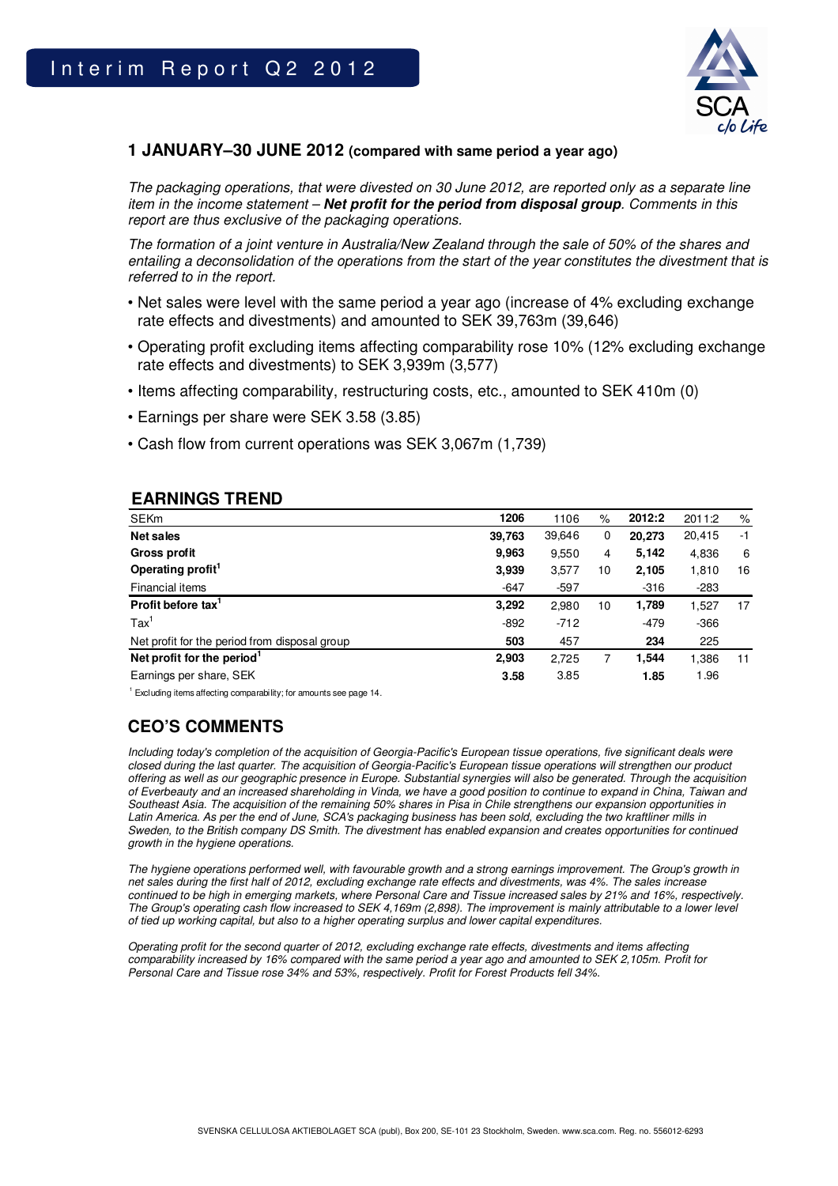

## **1 JANUARY–30 JUNE 2012 (compared with same period a year ago)**

The packaging operations, that were divested on 30 June 2012, are reported only as a separate line item in the income statement – **Net profit for the period from disposal group**. Comments in this report are thus exclusive of the packaging operations.

The formation of a joint venture in Australia/New Zealand through the sale of 50% of the shares and entailing a deconsolidation of the operations from the start of the year constitutes the divestment that is referred to in the report.

- Net sales were level with the same period a year ago (increase of 4% excluding exchange rate effects and divestments) and amounted to SEK 39,763m (39,646)
- Operating profit excluding items affecting comparability rose 10% (12% excluding exchange rate effects and divestments) to SEK 3,939m (3,577)
- Items affecting comparability, restructuring costs, etc., amounted to SEK 410m (0)
- Earnings per share were SEK 3.58 (3.85)
- Cash flow from current operations was SEK 3,067m (1,739)

## **EARNINGS TREND**

| <b>SEKm</b>                                   | 1206   | 1106   | $\%$ | 2012:2 | 2011:2 | $\%$ |
|-----------------------------------------------|--------|--------|------|--------|--------|------|
| Net sales                                     | 39,763 | 39,646 | 0    | 20,273 | 20,415 | $-1$ |
| Gross profit                                  | 9,963  | 9,550  | 4    | 5.142  | 4,836  | 6    |
| Operating profit <sup>1</sup>                 | 3.939  | 3,577  | 10   | 2,105  | 1,810  | 16   |
| Financial items                               | $-647$ | $-597$ |      | $-316$ | $-283$ |      |
| Profit before tax'                            | 3,292  | 2,980  | 10   | 1,789  | 1,527  | 17   |
| $\text{Tax}^1$                                | $-892$ | $-712$ |      | -479   | $-366$ |      |
| Net profit for the period from disposal group | 503    | 457    |      | 234    | 225    |      |
| Net profit for the period                     | 2,903  | 2,725  |      | 1,544  | 1,386  | 11   |
| Earnings per share, SEK                       | 3.58   | 3.85   |      | 1.85   | 1.96   |      |

 $1$  Excluding items affecting comparability; for amounts see page 14.

# **CEO'S COMMENTS**

Including today's completion of the acquisition of Georgia-Pacific's European tissue operations, five significant deals were closed during the last quarter. The acquisition of Georgia-Pacific's European tissue operations will strengthen our product offering as well as our geographic presence in Europe. Substantial synergies will also be generated. Through the acquisition of Everbeauty and an increased shareholding in Vinda, we have a good position to continue to expand in China, Taiwan and Southeast Asia. The acquisition of the remaining 50% shares in Pisa in Chile strengthens our expansion opportunities in Latin America. As per the end of June, SCA's packaging business has been sold, excluding the two kraftliner mills in Sweden, to the British company DS Smith. The divestment has enabled expansion and creates opportunities for continued growth in the hygiene operations.

The hygiene operations performed well, with favourable growth and a strong earnings improvement. The Group's growth in net sales during the first half of 2012, excluding exchange rate effects and divestments, was 4%. The sales increase continued to be high in emerging markets, where Personal Care and Tissue increased sales by 21% and 16%, respectively. The Group's operating cash flow increased to SEK 4,169m (2,898). The improvement is mainly attributable to a lower level of tied up working capital, but also to a higher operating surplus and lower capital expenditures.

Operating profit for the second quarter of 2012, excluding exchange rate effects, divestments and items affecting comparability increased by 16% compared with the same period a year ago and amounted to SEK 2,105m. Profit for Personal Care and Tissue rose 34% and 53%, respectively. Profit for Forest Products fell 34%.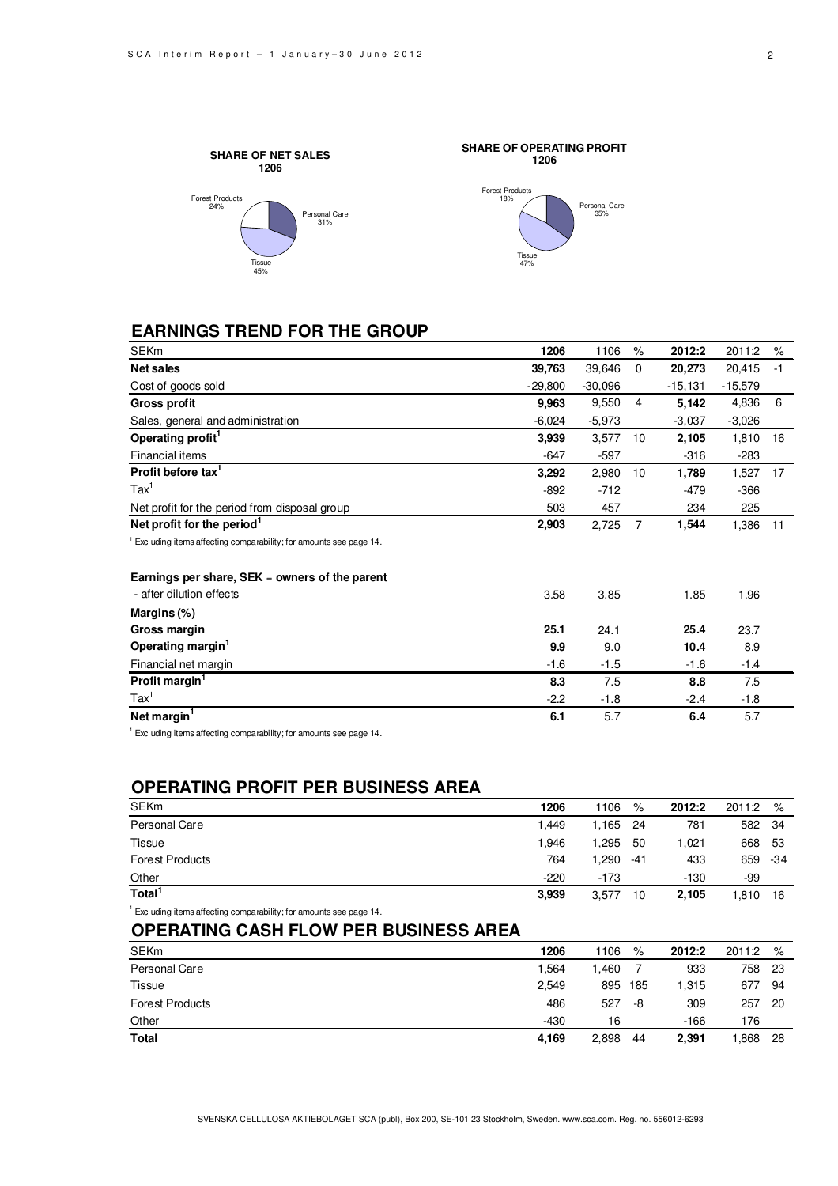Personal Care 35%



## **EARNINGS TREND FOR THE GROUP**

| <b>SEKm</b>                                                           | 1206      | 1106      | $\%$        | 2012:2    | 2011:2    | %    |
|-----------------------------------------------------------------------|-----------|-----------|-------------|-----------|-----------|------|
| Net sales                                                             | 39,763    | 39,646    | $\mathbf 0$ | 20,273    | 20,415    | $-1$ |
| Cost of goods sold                                                    | $-29,800$ | $-30,096$ |             | $-15,131$ | $-15,579$ |      |
| <b>Gross profit</b>                                                   | 9,963     | 9,550     | 4           | 5,142     | 4,836     | 6    |
| Sales, general and administration                                     | $-6,024$  | $-5,973$  |             | $-3,037$  | $-3,026$  |      |
| Operating profit <sup>1</sup>                                         | 3,939     | 3,577     | 10          | 2,105     | 1,810     | 16   |
| Financial items                                                       | $-647$    | $-597$    |             | $-316$    | $-283$    |      |
| Profit before tax <sup>1</sup>                                        | 3,292     | 2,980     | 10          | 1,789     | 1,527     | 17   |
| $\text{Tax}^1$                                                        | $-892$    | $-712$    |             | $-479$    | $-366$    |      |
| Net profit for the period from disposal group                         | 503       | 457       |             | 234       | 225       |      |
| Net profit for the period <sup>1</sup>                                | 2,903     | 2,725     | 7           | 1,544     | 1,386     | 11   |
| $1$ Excluding items affecting comparability; for amounts see page 14. |           |           |             |           |           |      |
| Earnings per share, SEK - owners of the parent                        |           |           |             |           |           |      |
| - after dilution effects                                              | 3.58      | 3.85      |             | 1.85      | 1.96      |      |
| Margins (%)                                                           |           |           |             |           |           |      |
| Gross margin                                                          | 25.1      | 24.1      |             | 25.4      | 23.7      |      |
| Operating margin <sup>1</sup>                                         | 9.9       | 9.0       |             | 10.4      | 8.9       |      |
| Financial net margin                                                  | $-1.6$    | $-1.5$    |             | $-1.6$    | $-1.4$    |      |
| Profit margin $1$                                                     | 8.3       | 7.5       |             | 8.8       | 7.5       |      |
| $\text{Tax}^1$                                                        | $-2.2$    | $-1.8$    |             | $-2.4$    | $-1.8$    |      |
| Net margin <sup>1</sup>                                               | 6.1       | 5.7       |             | 6.4       | 5.7       |      |

 $1$  Excluding items affecting comparability; for amounts see page 14.

## **OPERATING PROFIT PER BUSINESS AREA**

| <b>SEKm</b>                                          | 1206   | 1106   | %    | 2012:2 | 2011:2  | %    |
|------------------------------------------------------|--------|--------|------|--------|---------|------|
| Personal Care                                        | 1.449  | l.165  | - 24 | 781    | 582 34  |      |
| Tissue                                               | 1.946  | .295   | -50  | 1.021  | 668 53  |      |
| <b>Forest Products</b>                               | 764    | .290 ا | -41  | 433    | 659 -34 |      |
| Other                                                | $-220$ | $-173$ |      | $-130$ | -99     |      |
| Total <sup>1</sup>                                   | 3,939  | 3.577  | 10   | 2,105  | 1.810   | - 16 |
| .<br>$\cdots$ . The contract of $\cdots$<br>$\cdots$ |        |        |      |        |         |      |

<sup>1</sup>Excluding items affecting comparability; for amounts see page 14.

## **OPERATING CASH FLOW PER BUSINESS AREA**

| <b>SEKm</b>            | 1206   | 1106  | $\%$ | 2012:2 | 2011:2 | %   |
|------------------------|--------|-------|------|--------|--------|-----|
| Personal Care          | .564   | .460  |      | 933    | 758    | -23 |
| <b>Tissue</b>          | 2,549  | 895   | 185  | 1.315  | 677    | 94  |
| <b>Forest Products</b> | 486    | 527   | -8   | 309    | 257    | -20 |
| Other                  | $-430$ | 16    |      | $-166$ | 176    |     |
| <b>Total</b>           | 4,169  | 2,898 | 44   | 2,391  | .868   | 28  |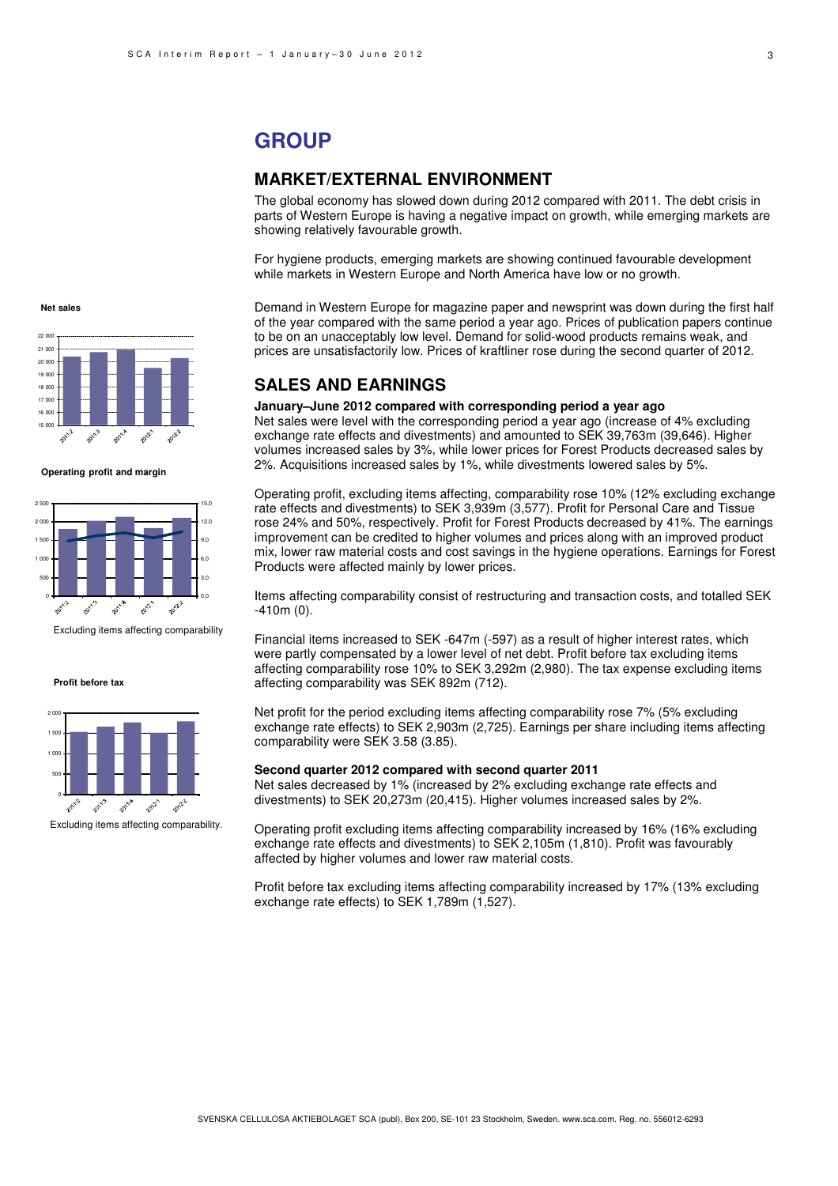## **GROUP**

### **MARKET/EXTERNAL ENVIRONMENT**

The global economy has slowed down during 2012 compared with 2011. The debt crisis in parts of Western Europe is having a negative impact on growth, while emerging markets are showing relatively favourable growth.

For hygiene products, emerging markets are showing continued favourable development while markets in Western Europe and North America have low or no growth.

Demand in Western Europe for magazine paper and newsprint was down during the first half of the year compared with the same period a year ago. Prices of publication papers continue to be on an unacceptably low level. Demand for solid-wood products remains weak, and prices are unsatisfactorily low. Prices of kraftliner rose during the second quarter of 2012.

### **SALES AND EARNINGS**

### **January–June 2012 compared with corresponding period a year ago**

Net sales were level with the corresponding period a year ago (increase of 4% excluding exchange rate effects and divestments) and amounted to SEK 39,763m (39,646). Higher volumes increased sales by 3%, while lower prices for Forest Products decreased sales by 2%. Acquisitions increased sales by 1%, while divestments lowered sales by 5%.

Operating profit, excluding items affecting, comparability rose 10% (12% excluding exchange rate effects and divestments) to SEK 3,939m (3,577). Profit for Personal Care and Tissue rose 24% and 50%, respectively. Profit for Forest Products decreased by 41%. The earnings improvement can be credited to higher volumes and prices along with an improved product mix, lower raw material costs and cost savings in the hygiene operations. Earnings for Forest Products were affected mainly by lower prices.

Items affecting comparability consist of restructuring and transaction costs, and totalled SEK -410m (0).

Financial items increased to SEK -647m (-597) as a result of higher interest rates, which were partly compensated by a lower level of net debt. Profit before tax excluding items affecting comparability rose 10% to SEK 3,292m (2,980). The tax expense excluding items affecting comparability was SEK 892m (712).

Net profit for the period excluding items affecting comparability rose 7% (5% excluding exchange rate effects) to SEK 2,903m (2,725). Earnings per share including items affecting comparability were SEK 3.58 (3.85).

### **Second quarter 2012 compared with second quarter 2011**

Net sales decreased by 1% (increased by 2% excluding exchange rate effects and divestments) to SEK 20,273m (20,415). Higher volumes increased sales by 2%.

Operating profit excluding items affecting comparability increased by 16% (16% excluding exchange rate effects and divestments) to SEK 2,105m (1,810). Profit was favourably affected by higher volumes and lower raw material costs.

Profit before tax excluding items affecting comparability increased by 17% (13% excluding exchange rate effects) to SEK 1,789m (1,527).



**Net sales**



**Operating profit and margin**



Excluding items affecting comparability

**Profit before tax**



Excluding items affecting comparability.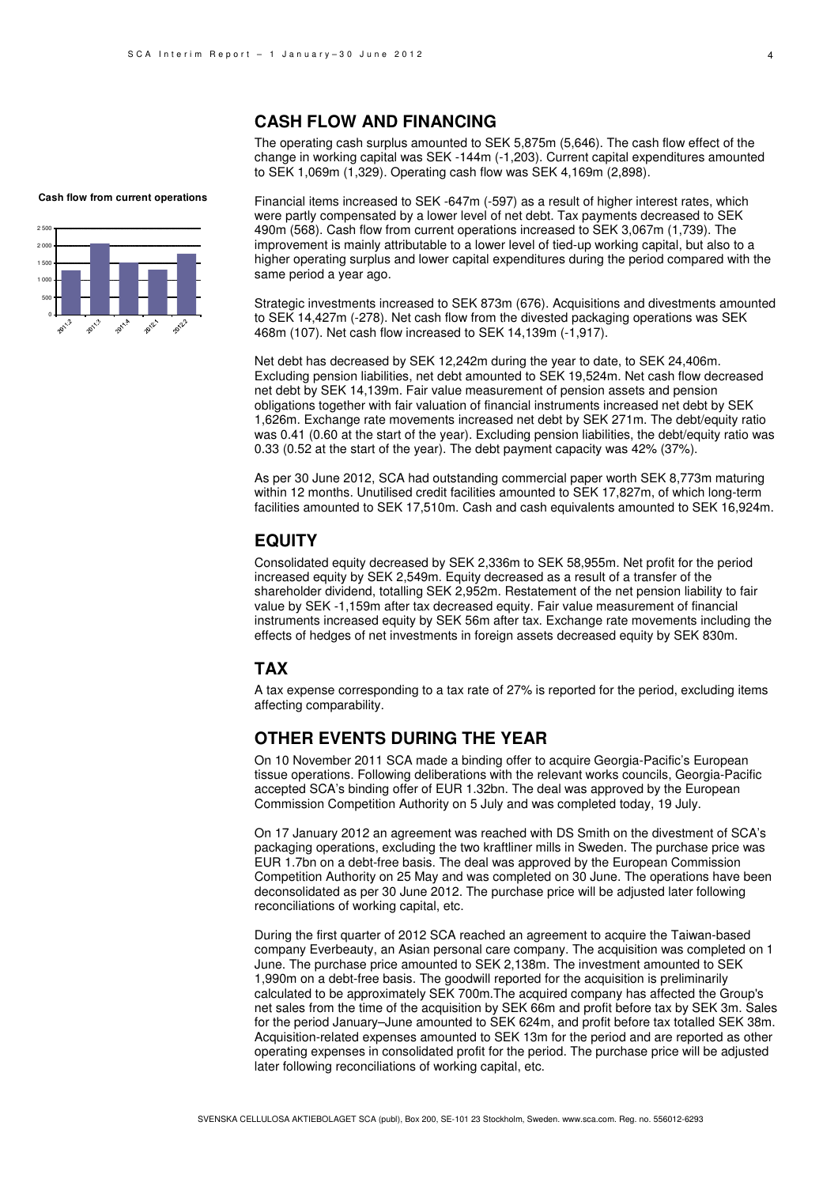### **CASH FLOW AND FINANCING**

The operating cash surplus amounted to SEK 5,875m (5,646). The cash flow effect of the change in working capital was SEK -144m (-1,203). Current capital expenditures amounted to SEK 1,069m (1,329). Operating cash flow was SEK 4,169m (2,898).

**Cash flow from current operations**



Financial items increased to SEK -647m (-597) as a result of higher interest rates, which were partly compensated by a lower level of net debt. Tax payments decreased to SEK 490m (568). Cash flow from current operations increased to SEK 3,067m (1,739). The improvement is mainly attributable to a lower level of tied-up working capital, but also to a higher operating surplus and lower capital expenditures during the period compared with the same period a year ago.

Strategic investments increased to SEK 873m (676). Acquisitions and divestments amounted to SEK 14,427m (-278). Net cash flow from the divested packaging operations was SEK 468m (107). Net cash flow increased to SEK 14,139m (-1,917).

Net debt has decreased by SEK 12,242m during the year to date, to SEK 24,406m. Excluding pension liabilities, net debt amounted to SEK 19,524m. Net cash flow decreased net debt by SEK 14,139m. Fair value measurement of pension assets and pension obligations together with fair valuation of financial instruments increased net debt by SEK 1,626m. Exchange rate movements increased net debt by SEK 271m. The debt/equity ratio was 0.41 (0.60 at the start of the year). Excluding pension liabilities, the debt/equity ratio was 0.33 (0.52 at the start of the year). The debt payment capacity was 42% (37%).

As per 30 June 2012, SCA had outstanding commercial paper worth SEK 8,773m maturing within 12 months. Unutilised credit facilities amounted to SEK 17,827m, of which long-term facilities amounted to SEK 17,510m. Cash and cash equivalents amounted to SEK 16,924m.

## **EQUITY**

Consolidated equity decreased by SEK 2,336m to SEK 58,955m. Net profit for the period increased equity by SEK 2,549m. Equity decreased as a result of a transfer of the shareholder dividend, totalling SEK 2,952m. Restatement of the net pension liability to fair value by SEK -1,159m after tax decreased equity. Fair value measurement of financial instruments increased equity by SEK 56m after tax. Exchange rate movements including the effects of hedges of net investments in foreign assets decreased equity by SEK 830m.

### **TAX**

A tax expense corresponding to a tax rate of 27% is reported for the period, excluding items affecting comparability.

### **OTHER EVENTS DURING THE YEAR**

On 10 November 2011 SCA made a binding offer to acquire Georgia-Pacific's European tissue operations. Following deliberations with the relevant works councils, Georgia-Pacific accepted SCA's binding offer of EUR 1.32bn. The deal was approved by the European Commission Competition Authority on 5 July and was completed today, 19 July.

On 17 January 2012 an agreement was reached with DS Smith on the divestment of SCA's packaging operations, excluding the two kraftliner mills in Sweden. The purchase price was EUR 1.7bn on a debt-free basis. The deal was approved by the European Commission Competition Authority on 25 May and was completed on 30 June. The operations have been deconsolidated as per 30 June 2012. The purchase price will be adjusted later following reconciliations of working capital, etc.

During the first quarter of 2012 SCA reached an agreement to acquire the Taiwan-based company Everbeauty, an Asian personal care company. The acquisition was completed on 1 June. The purchase price amounted to SEK 2,138m. The investment amounted to SEK 1,990m on a debt-free basis. The goodwill reported for the acquisition is preliminarily calculated to be approximately SEK 700m.The acquired company has affected the Group's net sales from the time of the acquisition by SEK 66m and profit before tax by SEK 3m. Sales for the period January–June amounted to SEK 624m, and profit before tax totalled SEK 38m. Acquisition-related expenses amounted to SEK 13m for the period and are reported as other operating expenses in consolidated profit for the period. The purchase price will be adjusted later following reconciliations of working capital, etc.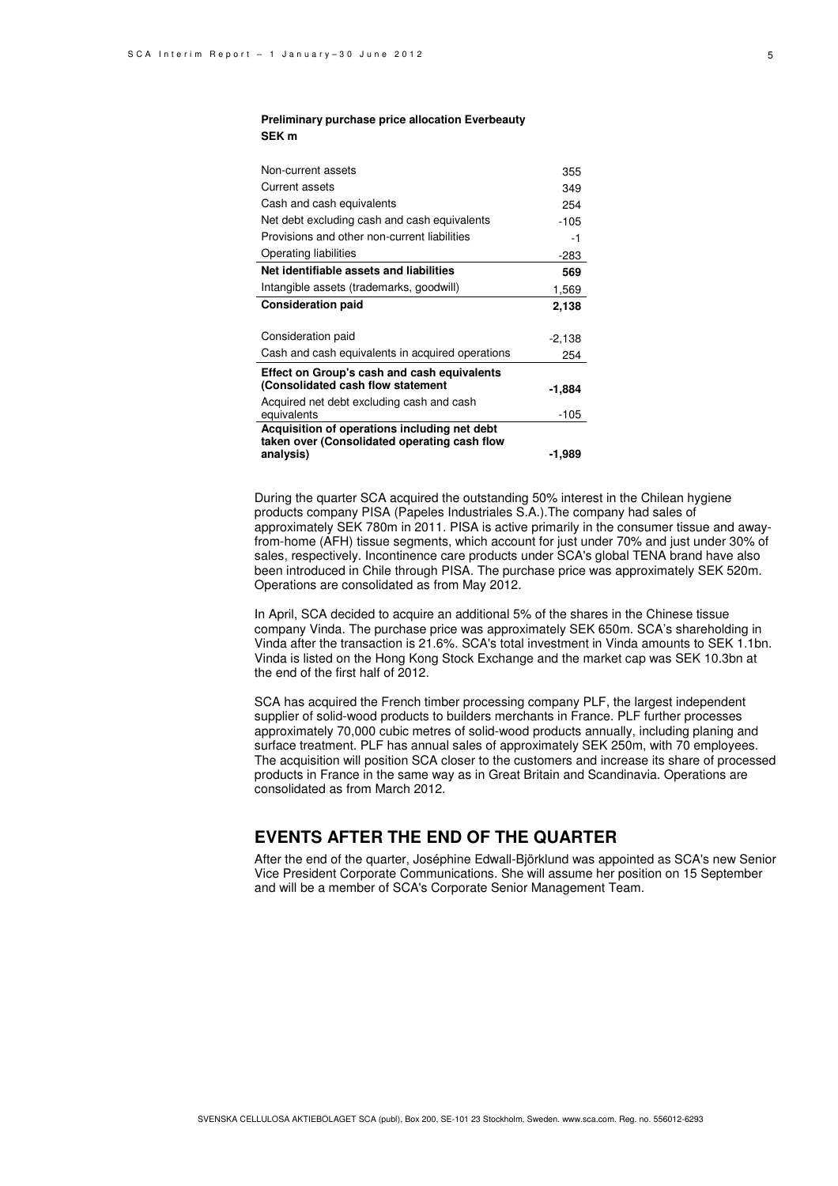### **Preliminary purchase price allocation Everbeauty SEK m**

| Non-current assets                               | 355    |
|--------------------------------------------------|--------|
| Current assets                                   | 349    |
| Cash and cash equivalents                        | 254    |
| Net debt excluding cash and cash equivalents     | $-105$ |
| Provisions and other non-current liabilities     | -1     |
| Operating liabilities                            | -283   |
| Net identifiable assets and liabilities          | 569    |
| Intangible assets (trademarks, goodwill)         | 1,569  |
| <b>Consideration paid</b>                        | 2,138  |
|                                                  |        |
| Consideration paid                               | -2,138 |
| Cash and cash equivalents in acquired operations | 254    |
| Effect on Group's cash and cash equivalents      |        |
| (Consolidated cash flow statement                | -1.884 |
| Acquired net debt excluding cash and cash        |        |
| equivalents                                      | -105   |
| Acquisition of operations including net debt     |        |
| taken over (Consolidated operating cash flow     |        |
| analysis)                                        | -1,989 |

During the quarter SCA acquired the outstanding 50% interest in the Chilean hygiene products company PISA (Papeles Industriales S.A.).The company had sales of approximately SEK 780m in 2011. PISA is active primarily in the consumer tissue and awayfrom-home (AFH) tissue segments, which account for just under 70% and just under 30% of sales, respectively. Incontinence care products under SCA's global TENA brand have also been introduced in Chile through PISA. The purchase price was approximately SEK 520m. Operations are consolidated as from May 2012.

In April, SCA decided to acquire an additional 5% of the shares in the Chinese tissue company Vinda. The purchase price was approximately SEK 650m. SCA's shareholding in Vinda after the transaction is 21.6%. SCA's total investment in Vinda amounts to SEK 1.1bn. Vinda is listed on the Hong Kong Stock Exchange and the market cap was SEK 10.3bn at the end of the first half of 2012.

SCA has acquired the French timber processing company PLF, the largest independent supplier of solid-wood products to builders merchants in France. PLF further processes approximately 70,000 cubic metres of solid-wood products annually, including planing and surface treatment. PLF has annual sales of approximately SEK 250m, with 70 employees. The acquisition will position SCA closer to the customers and increase its share of processed products in France in the same way as in Great Britain and Scandinavia. Operations are consolidated as from March 2012.

### **EVENTS AFTER THE END OF THE QUARTER**

After the end of the quarter, Joséphine Edwall-Björklund was appointed as SCA's new Senior Vice President Corporate Communications. She will assume her position on 15 September and will be a member of SCA's Corporate Senior Management Team.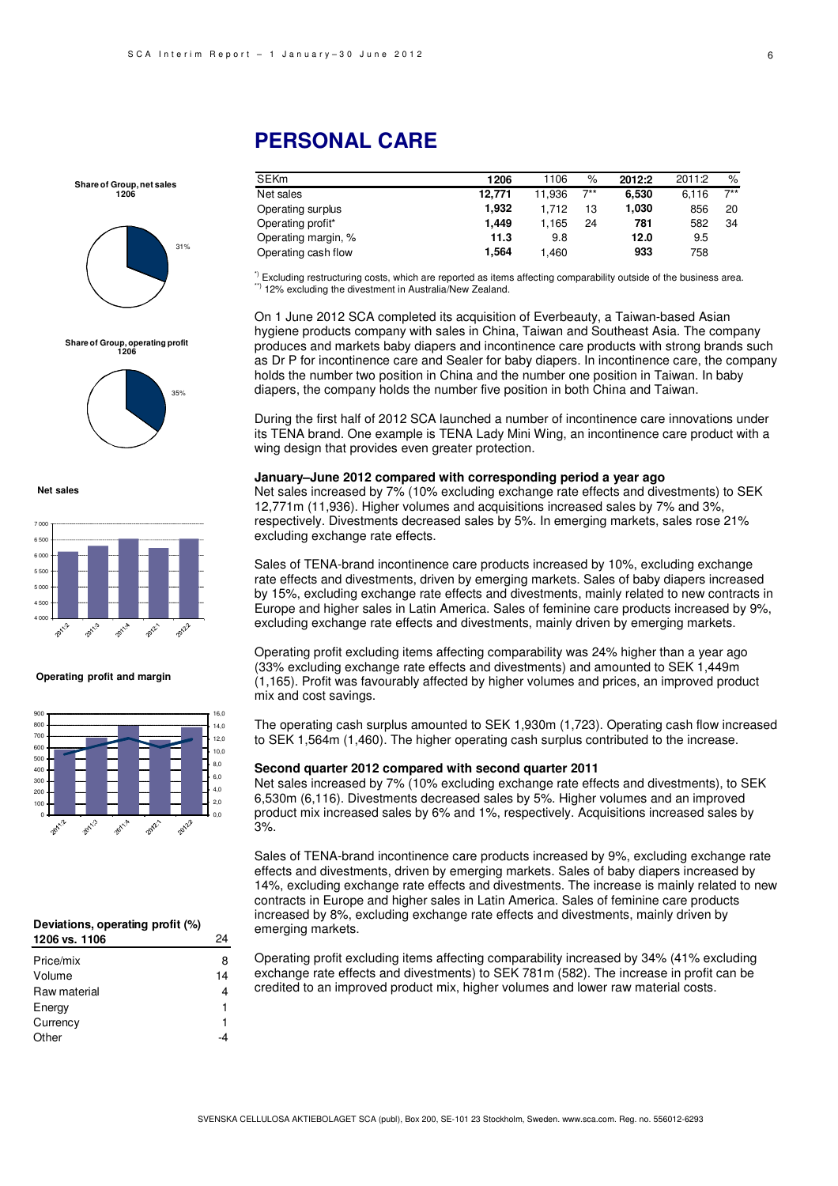**Share of Group, net sales 1206**



## **Share of Group, operating profit 1206**



**Net sales**



#### **Operating profit and margin**



#### **Deviations, operating profit (%) 1206 vs. 1106** 24

| Price/mix    | 8  |
|--------------|----|
| Volume       | 14 |
| Raw material | 4  |
| Energy       | 1  |
| Currency     | 1  |
| Other        |    |
|              |    |

## **PERSONAL CARE**

| <b>SEKm</b>         | 1206   | 1106   | %     | 2012:2 | 2011:2 | $\%$  |
|---------------------|--------|--------|-------|--------|--------|-------|
| Net sales           | 12.771 | 11.936 | $7**$ | 6.530  | 6.116  | $7**$ |
| Operating surplus   | 1.932  | 1.712  | 13    | 1.030  | 856    | 20    |
| Operating profit*   | 1.449  | 1,165  | 24    | 781    | 582    | 34    |
| Operating margin, % | 11.3   | 9.8    |       | 12.0   | 9.5    |       |
| Operating cash flow | 1.564  | 1,460  |       | 933    | 758    |       |
|                     |        |        |       |        |        |       |

\*) Excluding restructuring costs, which are reported as items affecting comparability outside of the business area. \*\*) 12% excluding the divestment in Australia/New Zealand.

On 1 June 2012 SCA completed its acquisition of Everbeauty, a Taiwan-based Asian hygiene products company with sales in China, Taiwan and Southeast Asia. The company produces and markets baby diapers and incontinence care products with strong brands such as Dr P for incontinence care and Sealer for baby diapers. In incontinence care, the company holds the number two position in China and the number one position in Taiwan. In baby diapers, the company holds the number five position in both China and Taiwan.

During the first half of 2012 SCA launched a number of incontinence care innovations under its TENA brand. One example is TENA Lady Mini Wing, an incontinence care product with a wing design that provides even greater protection.

#### **January–June 2012 compared with corresponding period a year ago**

Net sales increased by 7% (10% excluding exchange rate effects and divestments) to SEK 12,771m (11,936). Higher volumes and acquisitions increased sales by 7% and 3%, respectively. Divestments decreased sales by 5%. In emerging markets, sales rose 21% excluding exchange rate effects.

Sales of TENA-brand incontinence care products increased by 10%, excluding exchange rate effects and divestments, driven by emerging markets. Sales of baby diapers increased by 15%, excluding exchange rate effects and divestments, mainly related to new contracts in Europe and higher sales in Latin America. Sales of feminine care products increased by 9%, excluding exchange rate effects and divestments, mainly driven by emerging markets.

Operating profit excluding items affecting comparability was 24% higher than a year ago (33% excluding exchange rate effects and divestments) and amounted to SEK 1,449m (1,165). Profit was favourably affected by higher volumes and prices, an improved product mix and cost savings.

The operating cash surplus amounted to SEK 1,930m (1,723). Operating cash flow increased to SEK 1,564m (1,460). The higher operating cash surplus contributed to the increase.

#### **Second quarter 2012 compared with second quarter 2011**

Net sales increased by 7% (10% excluding exchange rate effects and divestments), to SEK 6,530m (6,116). Divestments decreased sales by 5%. Higher volumes and an improved product mix increased sales by 6% and 1%, respectively. Acquisitions increased sales by 3%.

Sales of TENA-brand incontinence care products increased by 9%, excluding exchange rate effects and divestments, driven by emerging markets. Sales of baby diapers increased by 14%, excluding exchange rate effects and divestments. The increase is mainly related to new contracts in Europe and higher sales in Latin America. Sales of feminine care products increased by 8%, excluding exchange rate effects and divestments, mainly driven by emerging markets.

Operating profit excluding items affecting comparability increased by 34% (41% excluding exchange rate effects and divestments) to SEK 781m (582). The increase in profit can be credited to an improved product mix, higher volumes and lower raw material costs.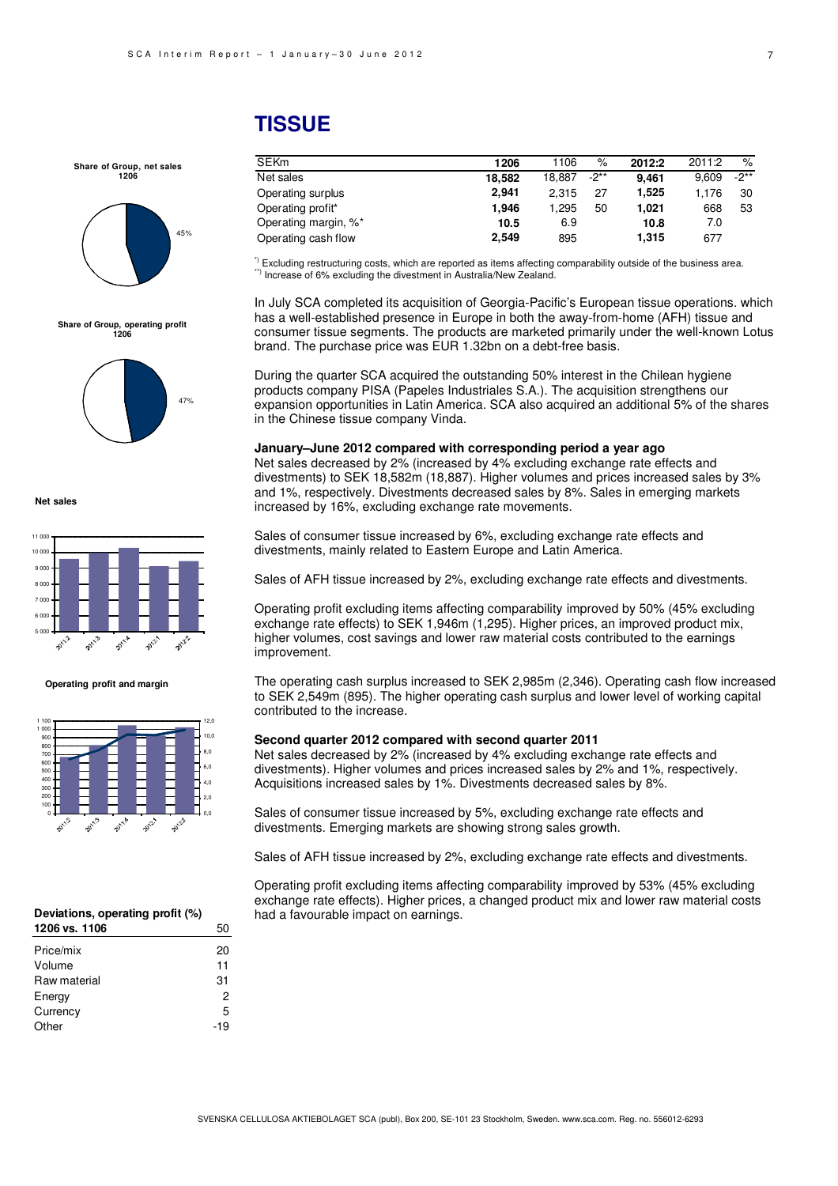#### 7

## **TISSUE**

## **Share of Group, net sales 1206**



## **Share of Group, operating profit 1206**



**Net sales**



#### **Operating profit and margin**



#### **Deviations, operating profit (%) 1206 vs. 1106** 50

| Price/mix    | 20  |
|--------------|-----|
| Volume       | 11  |
| Raw material | 31  |
| Energy       | 2   |
| Currency     | 5   |
| Other        | -19 |
|              |     |

| 1155UE |  |  |
|--------|--|--|
|        |  |  |
|        |  |  |

| <b>SEKm</b>          | 1206   | 1106   | $\%$ | 2012:2 | 2011:2 | %    |
|----------------------|--------|--------|------|--------|--------|------|
| Net sales            | 18.582 | 18.887 | -2** | 9.461  | 9.609  | -2** |
| Operating surplus    | 2.941  | 2.315  | 27   | 1,525  | 1.176  | 30   |
| Operating profit*    | 1.946  | 1.295  | 50   | 1.021  | 668    | 53   |
| Operating margin, %* | 10.5   | 6.9    |      | 10.8   | 7.0    |      |
| Operating cash flow  | 2,549  | 895    |      | 1,315  | 677    |      |

 $^{\circ}$  Excluding restructuring costs, which are reported as items affecting comparability outside of the business area. \*\*\*) Increase of 6% excluding the divestment in Australia/New Zealand.

In July SCA completed its acquisition of Georgia-Pacific's European tissue operations. which has a well-established presence in Europe in both the away-from-home (AFH) tissue and consumer tissue segments. The products are marketed primarily under the well-known Lotus brand. The purchase price was EUR 1.32bn on a debt-free basis.

During the quarter SCA acquired the outstanding 50% interest in the Chilean hygiene products company PISA (Papeles Industriales S.A.). The acquisition strengthens our expansion opportunities in Latin America. SCA also acquired an additional 5% of the shares in the Chinese tissue company Vinda.

### **January–June 2012 compared with corresponding period a year ago**

Net sales decreased by 2% (increased by 4% excluding exchange rate effects and divestments) to SEK 18,582m (18,887). Higher volumes and prices increased sales by 3% and 1%, respectively. Divestments decreased sales by 8%. Sales in emerging markets increased by 16%, excluding exchange rate movements.

Sales of consumer tissue increased by 6%, excluding exchange rate effects and divestments, mainly related to Eastern Europe and Latin America.

Sales of AFH tissue increased by 2%, excluding exchange rate effects and divestments.

Operating profit excluding items affecting comparability improved by 50% (45% excluding exchange rate effects) to SEK 1,946m (1,295). Higher prices, an improved product mix, higher volumes, cost savings and lower raw material costs contributed to the earnings improvement.

The operating cash surplus increased to SEK 2,985m (2,346). Operating cash flow increased to SEK 2,549m (895). The higher operating cash surplus and lower level of working capital contributed to the increase.

#### **Second quarter 2012 compared with second quarter 2011**

Net sales decreased by 2% (increased by 4% excluding exchange rate effects and divestments). Higher volumes and prices increased sales by 2% and 1%, respectively. Acquisitions increased sales by 1%. Divestments decreased sales by 8%.

Sales of consumer tissue increased by 5%, excluding exchange rate effects and divestments. Emerging markets are showing strong sales growth.

Sales of AFH tissue increased by 2%, excluding exchange rate effects and divestments.

Operating profit excluding items affecting comparability improved by 53% (45% excluding exchange rate effects). Higher prices, a changed product mix and lower raw material costs had a favourable impact on earnings.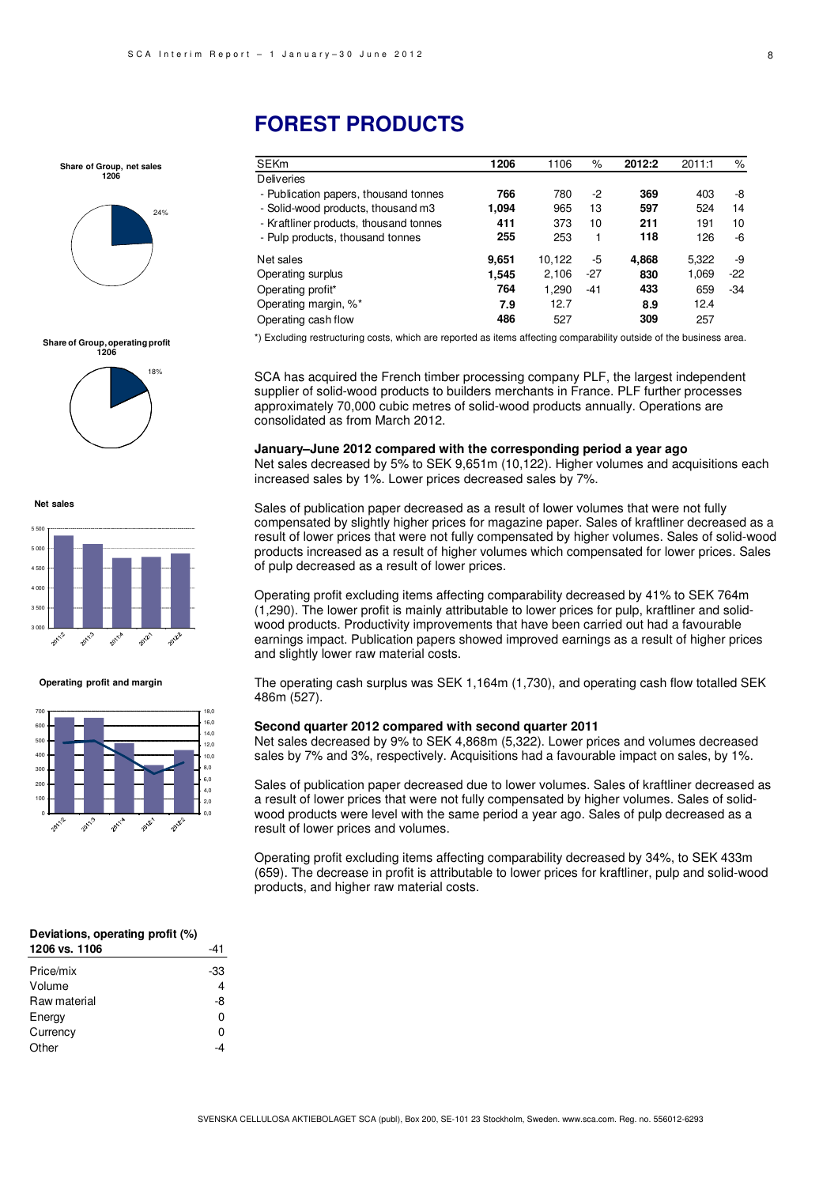**Share of Group, net sales 1206**



**Share of Group, operating profit 1206**



**Net sales**



**Operating profit and margin**



## **FOREST PRODUCTS**

| <b>SEKm</b>                             | 1206  | 1106   | %     | 2012:2 | 2011:1 | %     |
|-----------------------------------------|-------|--------|-------|--------|--------|-------|
| <b>Deliveries</b>                       |       |        |       |        |        |       |
| - Publication papers, thousand tonnes   | 766   | 780    | -2    | 369    | 403    | -8    |
| - Solid-wood products, thous and m3     | 1.094 | 965    | 13    | 597    | 524    | 14    |
| - Kraftliner products, thous and tonnes | 411   | 373    | 10    | 211    | 191    | 10    |
| - Pulp products, thousand tonnes        | 255   | 253    |       | 118    | 126    | -6    |
| Net sales                               | 9,651 | 10,122 | -5    | 4,868  | 5,322  | -9    |
| Operating surplus                       | 1.545 | 2,106  | -27   | 830    | 1,069  | $-22$ |
| Operating profit*                       | 764   | 1,290  | $-41$ | 433    | 659    | $-34$ |
| Operating margin, %*                    | 7.9   | 12.7   |       | 8.9    | 12.4   |       |
| Operating cash flow                     | 486   | 527    |       | 309    | 257    |       |

\*) Excluding restructuring costs, which are reported as items affecting comparability outside of the business area.

SCA has acquired the French timber processing company PLF, the largest independent supplier of solid-wood products to builders merchants in France. PLF further processes approximately 70,000 cubic metres of solid-wood products annually. Operations are consolidated as from March 2012.

**January–June 2012 compared with the corresponding period a year ago**  Net sales decreased by 5% to SEK 9,651m (10,122). Higher volumes and acquisitions each increased sales by 1%. Lower prices decreased sales by 7%.

Sales of publication paper decreased as a result of lower volumes that were not fully compensated by slightly higher prices for magazine paper. Sales of kraftliner decreased as a result of lower prices that were not fully compensated by higher volumes. Sales of solid-wood products increased as a result of higher volumes which compensated for lower prices. Sales of pulp decreased as a result of lower prices.

Operating profit excluding items affecting comparability decreased by 41% to SEK 764m (1,290). The lower profit is mainly attributable to lower prices for pulp, kraftliner and solidwood products. Productivity improvements that have been carried out had a favourable earnings impact. Publication papers showed improved earnings as a result of higher prices and slightly lower raw material costs.

The operating cash surplus was SEK 1,164m (1,730), and operating cash flow totalled SEK 486m (527).

#### **Second quarter 2012 compared with second quarter 2011**

Net sales decreased by 9% to SEK 4,868m (5,322). Lower prices and volumes decreased sales by 7% and 3%, respectively. Acquisitions had a favourable impact on sales, by 1%.

Sales of publication paper decreased due to lower volumes. Sales of kraftliner decreased as a result of lower prices that were not fully compensated by higher volumes. Sales of solidwood products were level with the same period a year ago. Sales of pulp decreased as a result of lower prices and volumes.

Operating profit excluding items affecting comparability decreased by 34%, to SEK 433m (659). The decrease in profit is attributable to lower prices for kraftliner, pulp and solid-wood products, and higher raw material costs.

| Deviations, operating profit (%) |     |
|----------------------------------|-----|
| 1206 vs. 1106                    | -41 |

| Price/mix    | -33 |
|--------------|-----|
| Volume       |     |
| Raw material | -8  |
| Energy       | ŋ   |
| Currency     | ŋ   |
| Other        |     |
|              |     |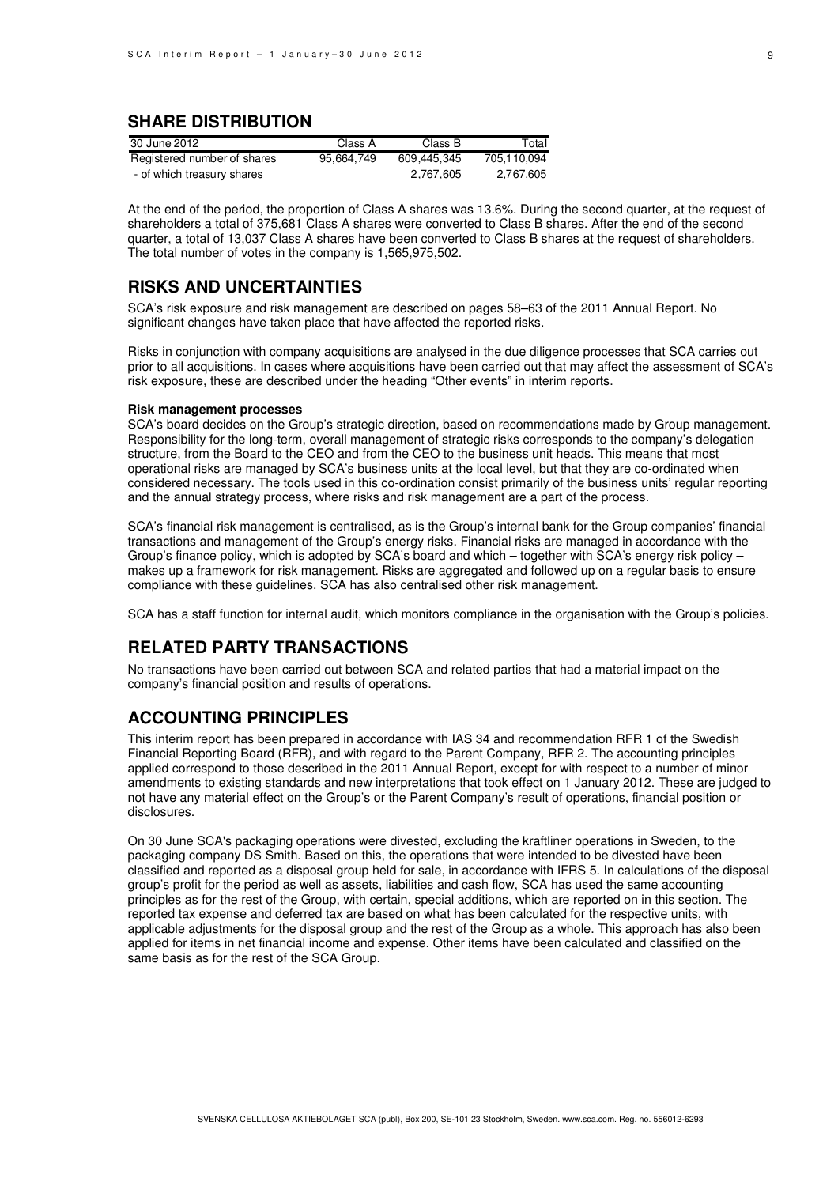## **SHARE DISTRIBUTION**

| 30 June 2012                | Class A    | Class B     | Total       |
|-----------------------------|------------|-------------|-------------|
| Registered number of shares | 95.664.749 | 609.445.345 | 705.110.094 |
| - of which treasury shares  |            | 2.767.605   | 2.767.605   |

At the end of the period, the proportion of Class A shares was 13.6%. During the second quarter, at the request of shareholders a total of 375,681 Class A shares were converted to Class B shares. After the end of the second quarter, a total of 13,037 Class A shares have been converted to Class B shares at the request of shareholders. The total number of votes in the company is 1,565,975,502.

## **RISKS AND UNCERTAINTIES**

SCA's risk exposure and risk management are described on pages 58–63 of the 2011 Annual Report. No significant changes have taken place that have affected the reported risks.

Risks in conjunction with company acquisitions are analysed in the due diligence processes that SCA carries out prior to all acquisitions. In cases where acquisitions have been carried out that may affect the assessment of SCA's risk exposure, these are described under the heading "Other events" in interim reports.

### **Risk management processes**

SCA's board decides on the Group's strategic direction, based on recommendations made by Group management. Responsibility for the long-term, overall management of strategic risks corresponds to the company's delegation structure, from the Board to the CEO and from the CEO to the business unit heads. This means that most operational risks are managed by SCA's business units at the local level, but that they are co-ordinated when considered necessary. The tools used in this co-ordination consist primarily of the business units' regular reporting and the annual strategy process, where risks and risk management are a part of the process.

SCA's financial risk management is centralised, as is the Group's internal bank for the Group companies' financial transactions and management of the Group's energy risks. Financial risks are managed in accordance with the Group's finance policy, which is adopted by SCA's board and which – together with SCA's energy risk policy – makes up a framework for risk management. Risks are aggregated and followed up on a regular basis to ensure compliance with these guidelines. SCA has also centralised other risk management.

SCA has a staff function for internal audit, which monitors compliance in the organisation with the Group's policies.

## **RELATED PARTY TRANSACTIONS**

No transactions have been carried out between SCA and related parties that had a material impact on the company's financial position and results of operations.

## **ACCOUNTING PRINCIPLES**

This interim report has been prepared in accordance with IAS 34 and recommendation RFR 1 of the Swedish Financial Reporting Board (RFR), and with regard to the Parent Company, RFR 2. The accounting principles applied correspond to those described in the 2011 Annual Report, except for with respect to a number of minor amendments to existing standards and new interpretations that took effect on 1 January 2012. These are judged to not have any material effect on the Group's or the Parent Company's result of operations, financial position or disclosures.

On 30 June SCA's packaging operations were divested, excluding the kraftliner operations in Sweden, to the packaging company DS Smith. Based on this, the operations that were intended to be divested have been classified and reported as a disposal group held for sale, in accordance with IFRS 5. In calculations of the disposal group's profit for the period as well as assets, liabilities and cash flow, SCA has used the same accounting principles as for the rest of the Group, with certain, special additions, which are reported on in this section. The reported tax expense and deferred tax are based on what has been calculated for the respective units, with applicable adjustments for the disposal group and the rest of the Group as a whole. This approach has also been applied for items in net financial income and expense. Other items have been calculated and classified on the same basis as for the rest of the SCA Group.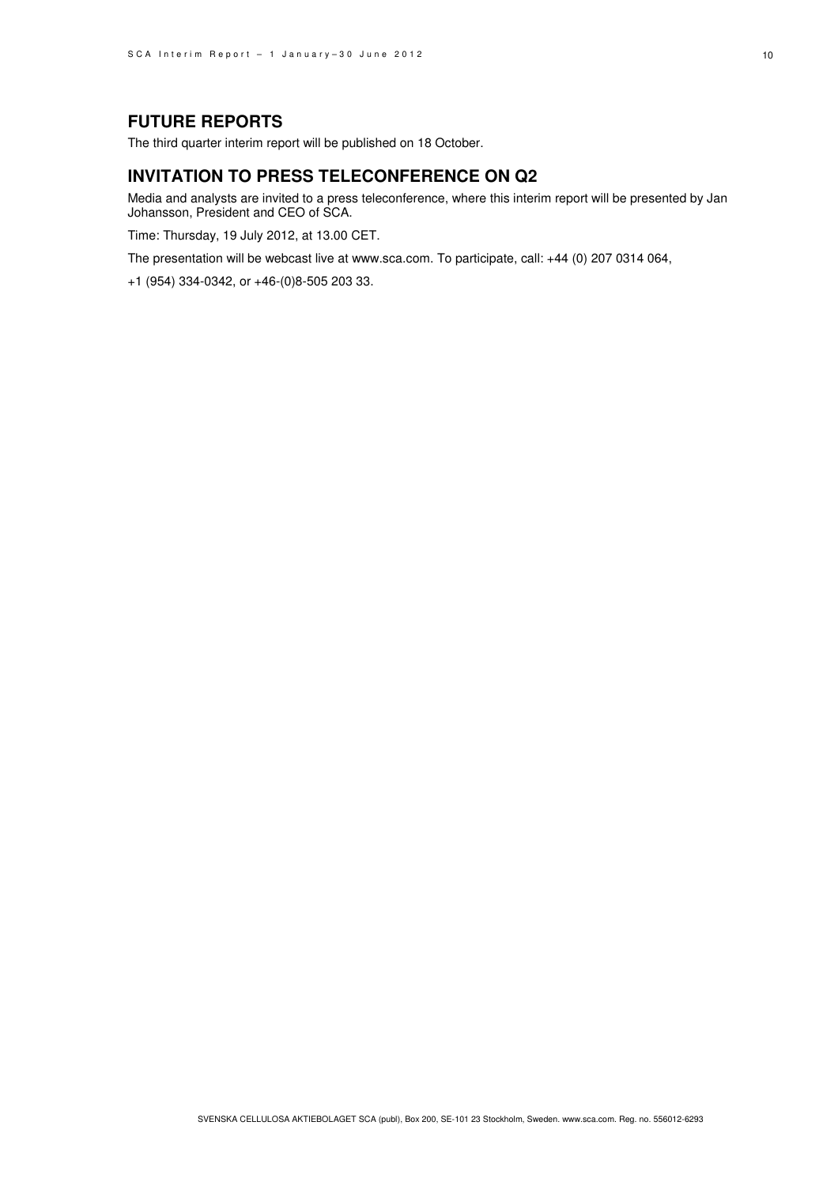## **FUTURE REPORTS**

The third quarter interim report will be published on 18 October.

### **INVITATION TO PRESS TELECONFERENCE ON Q2**

Media and analysts are invited to a press teleconference, where this interim report will be presented by Jan Johansson, President and CEO of SCA.

Time: Thursday, 19 July 2012, at 13.00 CET.

The presentation will be webcast live at www.sca.com. To participate, call: +44 (0) 207 0314 064,

+1 (954) 334-0342, or +46-(0)8-505 203 33.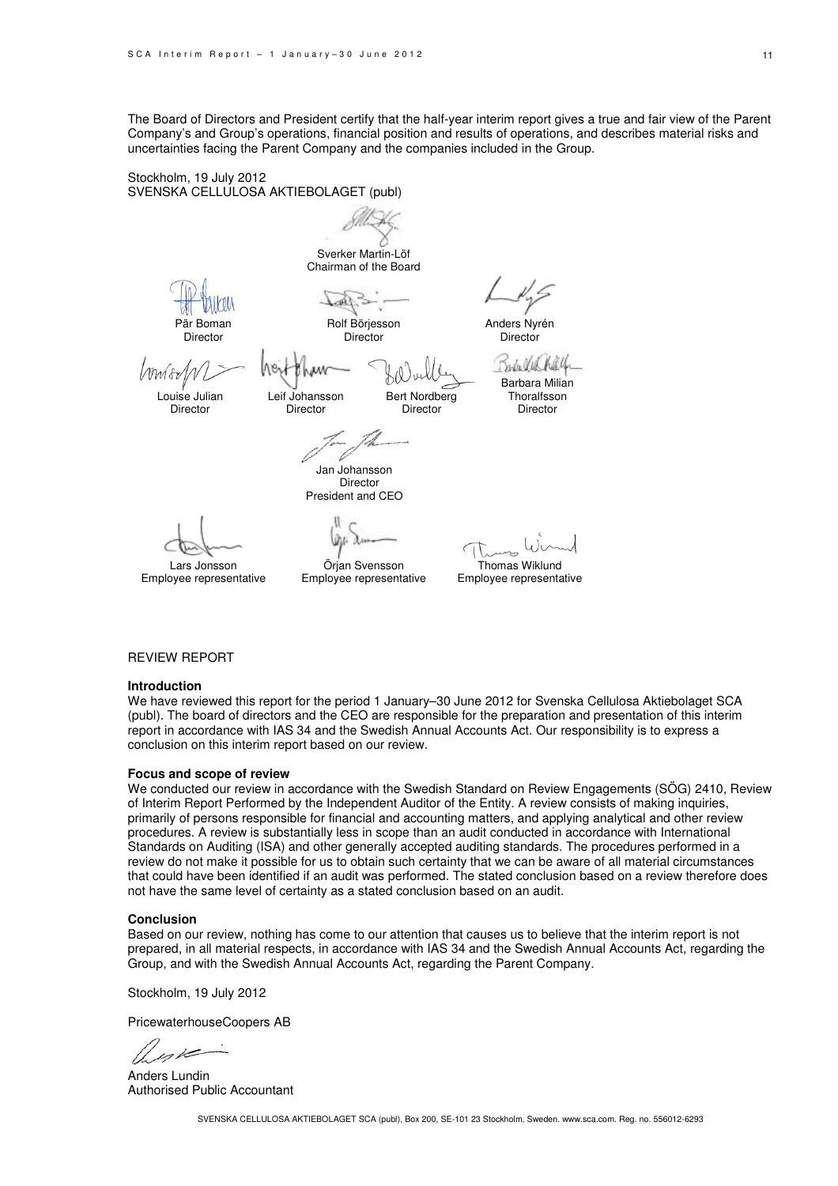The Board of Directors and President certify that the half-year interim report gives a true and fair view of the Parent Company's and Group's operations, financial position and results of operations, and describes material risks and uncertainties facing the Parent Company and the companies included in the Group.

> Bert Nordberg Director

Stockholm, 19 July 2012 SVENSKA CELLULOSA AKTIEBOLAGET (publ)

Sverker Martin-Löf

Chairman of the Board

Rolf Börjesson **Director** 

Anders Nyrén Director

Mwfor

Pär Boman Director

Louise Julian Director

Leif Johansson **Director** 

n.In Ulk Barbara Milian **Thoralfsson** Director

Jan Johansson Director

President and CEO

Lars Jonsson Employee representative

Örjan Svensson Employee representative

Thomas Wiklund

Employee representative

### REVIEW REPORT

#### **Introduction**

We have reviewed this report for the period 1 January–30 June 2012 for Svenska Cellulosa Aktiebolaget SCA (publ). The board of directors and the CEO are responsible for the preparation and presentation of this interim report in accordance with IAS 34 and the Swedish Annual Accounts Act. Our responsibility is to express a conclusion on this interim report based on our review.

#### **Focus and scope of review**

We conducted our review in accordance with the Swedish Standard on Review Engagements (SÖG) 2410, Review of Interim Report Performed by the Independent Auditor of the Entity. A review consists of making inquiries, primarily of persons responsible for financial and accounting matters, and applying analytical and other review procedures. A review is substantially less in scope than an audit conducted in accordance with International Standards on Auditing (ISA) and other generally accepted auditing standards. The procedures performed in a review do not make it possible for us to obtain such certainty that we can be aware of all material circumstances that could have been identified if an audit was performed. The stated conclusion based on a review therefore does not have the same level of certainty as a stated conclusion based on an audit.

#### **Conclusion**

Based on our review, nothing has come to our attention that causes us to believe that the interim report is not prepared, in all material respects, in accordance with IAS 34 and the Swedish Annual Accounts Act, regarding the Group, and with the Swedish Annual Accounts Act, regarding the Parent Company.

Stockholm, 19 July 2012

PricewaterhouseCoopers AB

Anders Lundin Authorised Public Accountant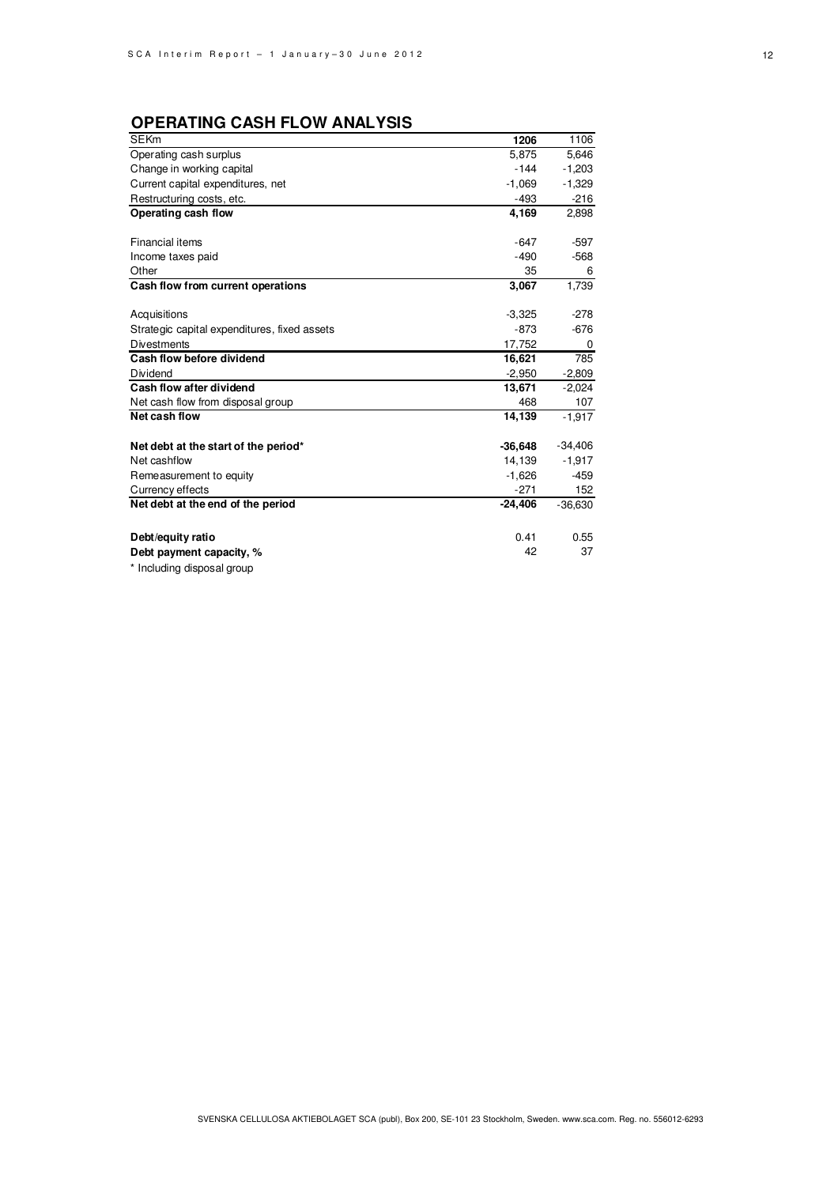## **OPERATING CASH FLOW ANALYSIS**

| <b>SEKm</b>                                  | 1206      | 1106      |
|----------------------------------------------|-----------|-----------|
| Operating cash surplus                       | 5,875     | 5,646     |
| Change in working capital                    | $-144$    | $-1,203$  |
| Current capital expenditures, net            | $-1,069$  | $-1,329$  |
| Restructuring costs, etc.                    | $-493$    | $-216$    |
| Operating cash flow                          | 4,169     | 2,898     |
|                                              |           |           |
| Financial items                              | $-647$    | $-597$    |
| Income taxes paid                            | $-490$    | $-568$    |
| Other                                        | 35        | 6         |
| Cash flow from current operations            | 3,067     | 1,739     |
|                                              |           |           |
| Acquisitions                                 | $-3,325$  | $-278$    |
| Strategic capital expenditures, fixed assets | $-873$    | $-676$    |
| <b>Divestments</b>                           | 17,752    | 0         |
| Cash flow before dividend                    | 16,621    | 785       |
| Dividend                                     | $-2,950$  | $-2,809$  |
| Cash flow after dividend                     | 13,671    | $-2,024$  |
| Net cash flow from disposal group            | 468       | 107       |
| Net cash flow                                | 14,139    | $-1,917$  |
|                                              |           |           |
| Net debt at the start of the period*         | $-36,648$ | $-34,406$ |
| Net cashflow                                 | 14,139    | $-1,917$  |
| Remeasurement to equity                      | $-1,626$  | $-459$    |
| Currency effects                             | $-271$    | 152       |
| Net debt at the end of the period            | $-24,406$ | $-36,630$ |
|                                              |           |           |
| Debt/equity ratio                            | 0.41      | 0.55      |
| Debt payment capacity, %                     | 42        | 37        |
| * Including disposal group                   |           |           |
|                                              |           |           |

SVENSKA CELLULOSA AKTIEBOLAGET SCA (publ), Box 200, SE-101 23 Stockholm, Sweden. www.sca.com. Reg. no. 556012-6293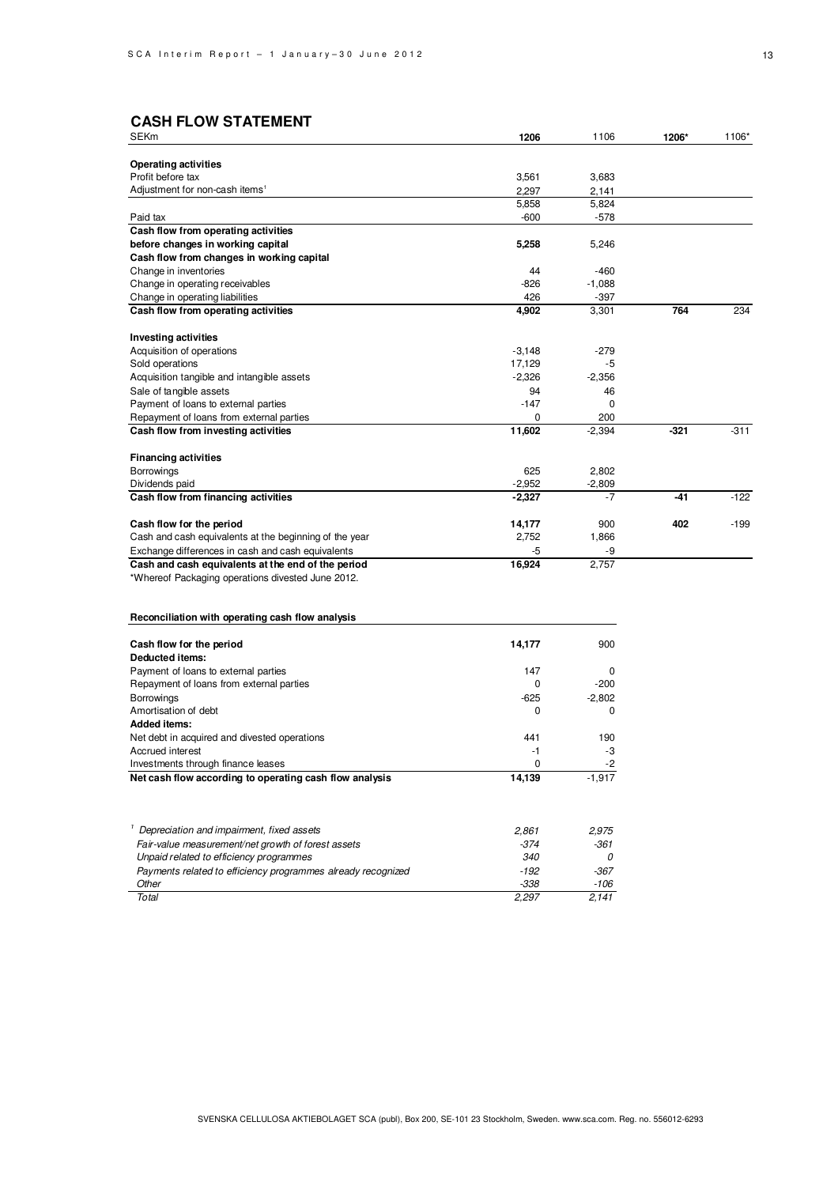## **CASH FLOW STATEMENT**

| <b>SEKm</b>                                            | 1206     | 1106     | 1206*  | 1106*  |  |
|--------------------------------------------------------|----------|----------|--------|--------|--|
| <b>Operating activities</b>                            |          |          |        |        |  |
| Profit before tax                                      | 3,561    | 3,683    |        |        |  |
| Adjustment for non-cash items <sup>1</sup>             | 2,297    | 2,141    |        |        |  |
|                                                        | 5,858    | 5,824    |        |        |  |
| Paid tax                                               | $-600$   | $-578$   |        |        |  |
| Cash flow from operating activities                    |          |          |        |        |  |
| before changes in working capital                      | 5,258    | 5,246    |        |        |  |
| Cash flow from changes in working capital              |          |          |        |        |  |
| Change in inventories                                  | 44       | $-460$   |        |        |  |
| Change in operating receivables                        | $-826$   | $-1,088$ |        |        |  |
| Change in operating liabilities                        | 426      | $-397$   |        |        |  |
| Cash flow from operating activities                    | 4,902    | 3,301    | 764    | 234    |  |
| <b>Investing activities</b>                            |          |          |        |        |  |
| Acquisition of operations                              | $-3,148$ | $-279$   |        |        |  |
| Sold operations                                        | 17,129   | $-5$     |        |        |  |
| Acquisition tangible and intangible assets             | $-2,326$ | $-2,356$ |        |        |  |
| Sale of tangible assets                                | 94       | 46       |        |        |  |
| Payment of loans to external parties                   | $-147$   | $\Omega$ |        |        |  |
| Repayment of loans from external parties               | $\Omega$ | 200      |        |        |  |
| Cash flow from investing activities                    | 11,602   | $-2,394$ | $-321$ | $-311$ |  |
| <b>Financing activities</b>                            |          |          |        |        |  |
| <b>Borrowings</b>                                      | 625      | 2,802    |        |        |  |
| Dividends paid                                         | $-2,952$ | $-2,809$ |        |        |  |
| Cash flow from financing activities                    | $-2,327$ | $-7$     | $-41$  | $-122$ |  |
| Cash flow for the period                               | 14,177   | 900      | 402    | $-199$ |  |
| Cash and cash equivalents at the beginning of the year | 2,752    | 1,866    |        |        |  |
| Exchange differences in cash and cash equivalents      | $-5$     | $-9$     |        |        |  |
| Cash and cash equivalents at the end of the period     | 16.924   | 2.757    |        |        |  |

\*Whereof Packaging operations divested June 2012.

### **Reconciliation with operating cash flow analysis**

| Cash flow for the period                                | 14,177 | 900      |
|---------------------------------------------------------|--------|----------|
| Deducted items:                                         |        |          |
| Payment of loans to external parties                    | 147    | $\Omega$ |
| Repayment of loans from external parties                | 0      | $-200$   |
| <b>Borrowings</b>                                       | $-625$ | $-2.802$ |
| Amortisation of debt                                    | 0      | $\Omega$ |
| <b>Added items:</b>                                     |        |          |
| Net debt in acquired and divested operations            | 441    | 190      |
| Accrued interest                                        | -1     | -3       |
| Investments through finance leases                      | 0      | $-2$     |
| Net cash flow according to operating cash flow analysis | 14,139 | $-1.917$ |
|                                                         |        |          |

| Depreciation and impairment, fixed assets                    | 2.861  | 2.975  |
|--------------------------------------------------------------|--------|--------|
| Fair-value measurement/net growth of forest assets           | $-374$ | $-361$ |
| Unpaid related to efficiency programmes                      | 340    |        |
| Payments related to efficiency programmes already recognized | -192   | -367   |
| Other                                                        | $-338$ | -106   |
| Total                                                        | 2.297  | 2.141  |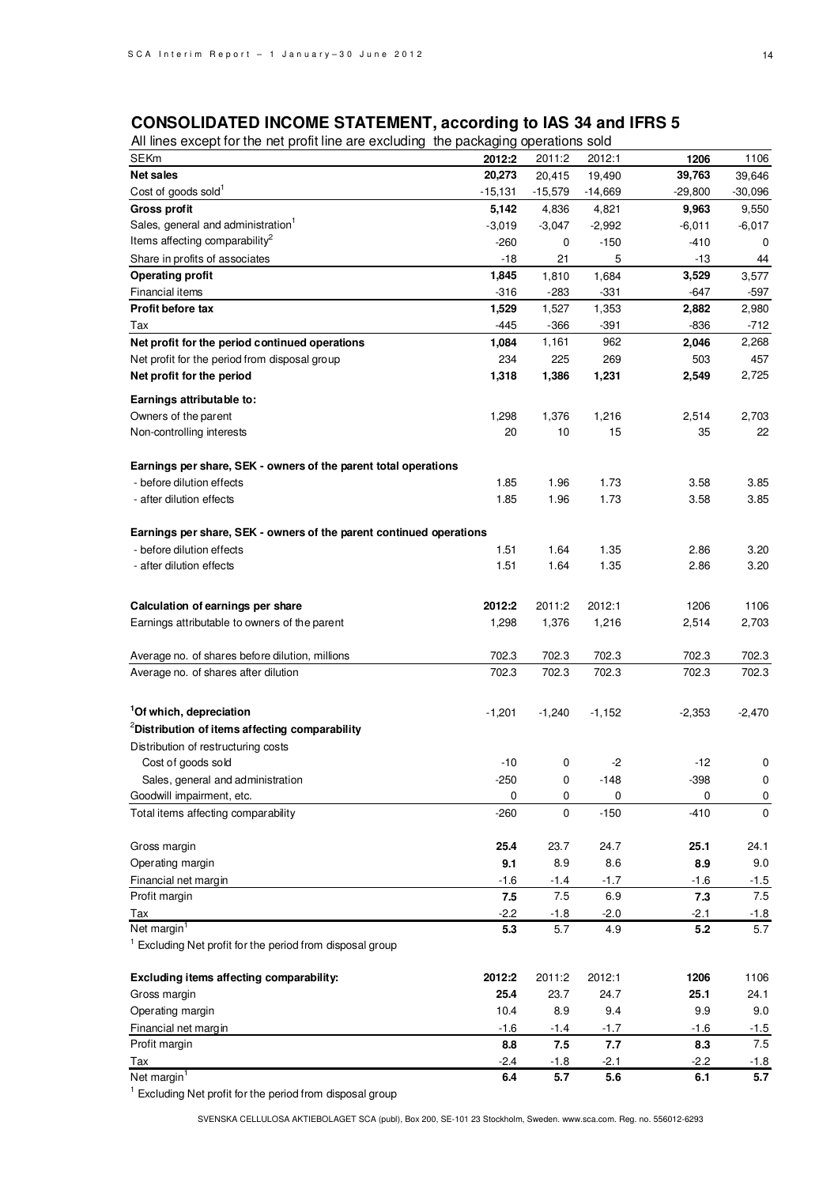### **CONSOLIDATED INCOME STATEMENT, according to IAS 34 and IFRS 5**

All lines except for the net profit line are excluding the packaging operations sold

| All liftes except for the fiel profit lifte are excluding the packaging operations sold |           |             |           |          |             |
|-----------------------------------------------------------------------------------------|-----------|-------------|-----------|----------|-------------|
| SEKm                                                                                    | 2012:2    | 2011:2      | 2012:1    | 1206     | 1106        |
| <b>Net sales</b>                                                                        | 20,273    | 20,415      | 19,490    | 39,763   | 39,646      |
| Cost of goods sold <sup>1</sup>                                                         | $-15,131$ | $-15,579$   | $-14,669$ | -29,800  | $-30,096$   |
| <b>Gross profit</b>                                                                     | 5,142     | 4,836       | 4,821     | 9,963    | 9,550       |
| Sales, general and administration <sup>1</sup>                                          | $-3,019$  | $-3,047$    | $-2,992$  | $-6,011$ | $-6,017$    |
| Items affecting comparability <sup>2</sup>                                              | $-260$    | 0           | $-150$    | -410     | 0           |
| Share in profits of associates                                                          | $-18$     | 21          | 5         | -13      | 44          |
| <b>Operating profit</b>                                                                 | 1,845     | 1,810       | 1,684     | 3,529    | 3,577       |
| Financial items                                                                         | $-316$    | -283        | $-331$    | $-647$   | -597        |
| Profit before tax                                                                       | 1,529     | 1,527       | 1,353     | 2,882    | 2,980       |
| Tax                                                                                     | $-445$    | $-366$      | $-391$    | $-836$   | $-712$      |
| Net profit for the period continued operations                                          | 1,084     | 1,161       | 962       | 2,046    | 2,268       |
| Net profit for the period from disposal group                                           | 234       | 225         | 269       | 503      | 457         |
| Net profit for the period                                                               | 1,318     | 1,386       | 1,231     | 2,549    | 2,725       |
|                                                                                         |           |             |           |          |             |
| Earnings attributable to:                                                               |           |             |           |          |             |
| Owners of the parent                                                                    | 1,298     | 1,376       | 1,216     | 2,514    | 2,703       |
| Non-controlling interests                                                               | 20        | 10          | 15        | 35       | 22          |
|                                                                                         |           |             |           |          |             |
| Earnings per share, SEK - owners of the parent total operations                         |           |             |           |          |             |
| - before dilution effects                                                               | 1.85      | 1.96        | 1.73      | 3.58     | 3.85        |
| - after dilution effects                                                                | 1.85      | 1.96        | 1.73      | 3.58     | 3.85        |
|                                                                                         |           |             |           |          |             |
| Earnings per share, SEK - owners of the parent continued operations                     |           |             |           |          |             |
| - before dilution effects                                                               | 1.51      | 1.64        | 1.35      | 2.86     | 3.20        |
| - after dilution effects                                                                | 1.51      | 1.64        | 1.35      | 2.86     | 3.20        |
|                                                                                         |           |             |           |          |             |
|                                                                                         |           |             |           |          |             |
| Calculation of earnings per share                                                       | 2012:2    | 2011:2      | 2012:1    | 1206     | 1106        |
| Earnings attributable to owners of the parent                                           | 1,298     | 1,376       | 1,216     | 2,514    | 2,703       |
|                                                                                         |           |             |           |          |             |
| Average no. of shares before dilution, millions                                         | 702.3     | 702.3       | 702.3     | 702.3    | 702.3       |
| Average no. of shares after dilution                                                    | 702.3     | 702.3       | 702.3     | 702.3    | 702.3       |
|                                                                                         |           |             |           |          |             |
| <sup>1</sup> Of which, depreciation                                                     | $-1,201$  | $-1,240$    | $-1,152$  | $-2,353$ | $-2,470$    |
| <sup>2</sup> Distribution of items affecting comparability                              |           |             |           |          |             |
| Distribution of restructuring costs                                                     |           |             |           |          |             |
| Cost of goods sold                                                                      | -10       | 0           | $-2$      | $-12$    | 0           |
| Sales, general and administration                                                       | $-250$    | 0           | $-148$    | $-398$   | $\pmb{0}$   |
| Goodwill impairment, etc.                                                               | 0         | 0           | 0         | 0        | $\mathbf 0$ |
| Total items affecting comparability                                                     | $-260$    | $\mathbf 0$ | $-150$    | $-410$   | 0           |
|                                                                                         |           |             |           |          |             |
| Gross margin                                                                            | 25.4      | 23.7        | 24.7      | 25.1     | 24.1        |
|                                                                                         |           |             |           |          |             |
| Operating margin                                                                        | 9.1       | 8.9         | 8.6       | 8.9      | 9.0         |
| Financial net margin                                                                    | $-1.6$    | $-1.4$      | $-1.7$    | $-1.6$   | $-1.5$      |
| Profit margin                                                                           | 7.5       | 7.5         | 6.9       | 7.3      | 7.5         |
| Tax                                                                                     | $-2.2$    | $-1.8$      | $-2.0$    | $-2.1$   | $-1.8$      |
| Net margin <sup>1</sup>                                                                 | 5.3       | 5.7         | 4.9       | 5.2      | 5.7         |
| <sup>1</sup> Excluding Net profit for the period from disposal group                    |           |             |           |          |             |
|                                                                                         |           |             |           |          |             |
| Excluding items affecting comparability:                                                | 2012:2    | 2011:2      | 2012:1    | 1206     | 1106        |
| Gross margin                                                                            | 25.4      | 23.7        | 24.7      | 25.1     | 24.1        |
| Operating margin                                                                        | 10.4      | 8.9         | 9.4       | 9.9      | 9.0         |
| Financial net margin                                                                    | $-1.6$    | $-1.4$      | $-1.7$    | $-1.6$   | $-1.5$      |
| Profit margin                                                                           | 8.8       | 7.5         | 7.7       | 8.3      | 7.5         |
| Tax                                                                                     | -2.4      | $-1.8$      | $-2.1$    | -2.2     | $-1.8$      |
| Net margin <sup>1</sup>                                                                 | 6.4       | 5.7         | 5.6       | 6.1      | 5.7         |

<sup>1</sup> Excluding Net profit for the period from disposal group

SVENSKA CELLULOSA AKTIEBOLAGET SCA (publ), Box 200, SE-101 23 Stockholm, Sweden. www.sca.com. Reg. no. 556012-6293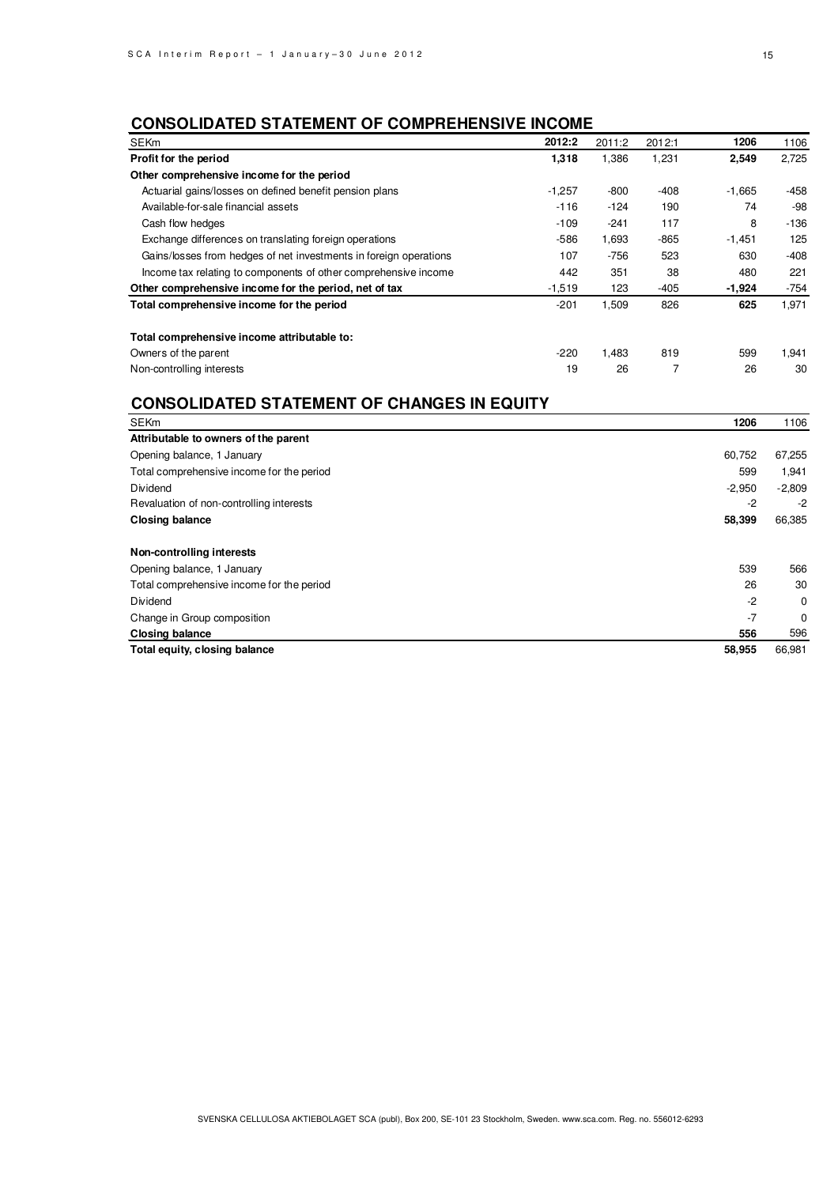## **CONSOLIDATED STATEMENT OF COMPREHENSIVE INCOME**

| <b>SEKm</b>                                                       | 2012:2   | 2011:2 | 2012:1 | 1206     | 1106   |
|-------------------------------------------------------------------|----------|--------|--------|----------|--------|
| Profit for the period                                             | 1,318    | 1,386  | 1,231  | 2,549    | 2,725  |
| Other comprehensive income for the period                         |          |        |        |          |        |
| Actuarial gains/losses on defined benefit pension plans           | $-1,257$ | $-800$ | $-408$ | $-1,665$ | $-458$ |
| Available-for-sale financial assets                               | $-116$   | $-124$ | 190    | 74       | $-98$  |
| Cash flow hedges                                                  | $-109$   | $-241$ | 117    | 8        | $-136$ |
| Exchange differences on translating foreign operations            | $-586$   | 1,693  | $-865$ | $-1,451$ | 125    |
| Gains/losses from hedges of net investments in foreign operations | 107      | $-756$ | 523    | 630      | $-408$ |
| Income tax relating to components of other comprehensive income   | 442      | 351    | 38     | 480      | 221    |
| Other comprehensive income for the period, net of tax             | $-1.519$ | 123    | $-405$ | $-1,924$ | $-754$ |
| Total comprehensive income for the period                         | $-201$   | 1,509  | 826    | 625      | 1,971  |
| Total comprehensive income attributable to:                       |          |        |        |          |        |
| Owners of the parent                                              | $-220$   | 1.483  | 819    | 599      | 1,941  |
| Non-controlling interests                                         | 19       | 26     |        | 26       | 30     |

## **CONSOLIDATED STATEMENT OF CHANGES IN EQUITY**

| <b>SEKm</b>                               | 1206     | 1106     |
|-------------------------------------------|----------|----------|
| Attributable to owners of the parent      |          |          |
| Opening balance, 1 January                | 60,752   | 67,255   |
| Total comprehensive income for the period | 599      | 1,941    |
| Dividend                                  | $-2,950$ | $-2,809$ |
| Revaluation of non-controlling interests  | $-2$     | $-2$     |
| <b>Closing balance</b>                    | 58,399   | 66,385   |
| Non-controlling interests                 |          |          |
| Opening balance, 1 January                | 539      | 566      |
| Total comprehensive income for the period | 26       | 30       |
| Dividend                                  | $-2$     | 0        |
| Change in Group composition               | $-7$     | $\Omega$ |
| <b>Closing balance</b>                    | 556      | 596      |
| Total equity, closing balance             | 58,955   | 66,981   |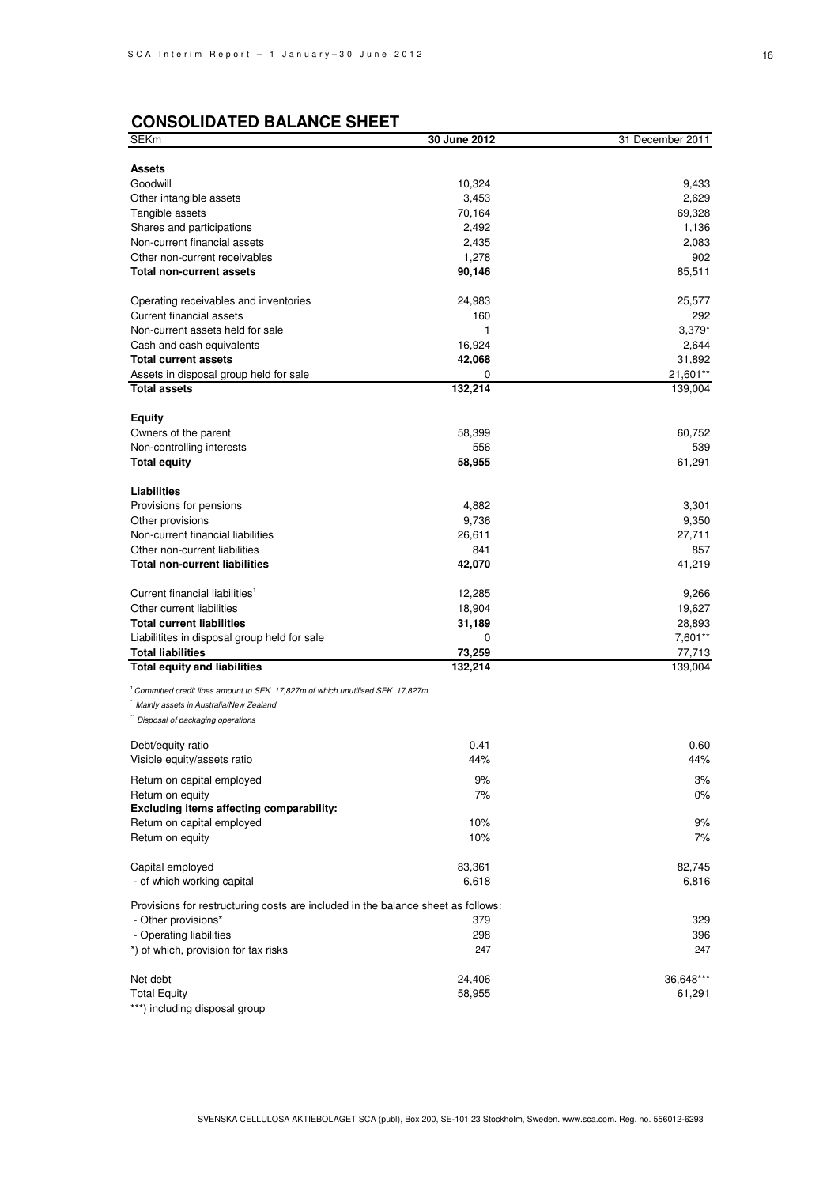## **CONSOLIDATED BALANCE SHEET**

| SEKm                                                                                                                    | 30 June 2012 | 31 December 2011 |
|-------------------------------------------------------------------------------------------------------------------------|--------------|------------------|
|                                                                                                                         |              |                  |
| Assets                                                                                                                  |              |                  |
| Goodwill                                                                                                                | 10,324       | 9,433            |
| Other intangible assets                                                                                                 | 3,453        | 2,629            |
| Tangible assets                                                                                                         | 70,164       | 69,328           |
| Shares and participations                                                                                               | 2,492        | 1,136            |
| Non-current financial assets                                                                                            | 2,435        | 2,083            |
| Other non-current receivables                                                                                           | 1,278        | 902              |
| <b>Total non-current assets</b>                                                                                         | 90,146       | 85,511           |
| Operating receivables and inventories                                                                                   | 24,983       | 25,577           |
| Current financial assets                                                                                                | 160          | 292              |
| Non-current assets held for sale                                                                                        | 1            | $3,379*$         |
| Cash and cash equivalents                                                                                               | 16,924       | 2,644            |
| <b>Total current assets</b>                                                                                             | 42,068       | 31,892           |
| Assets in disposal group held for sale                                                                                  | 0            | 21,601**         |
| <b>Total assets</b>                                                                                                     | 132,214      | 139,004          |
| <b>Equity</b>                                                                                                           |              |                  |
| Owners of the parent                                                                                                    | 58,399       | 60,752           |
| Non-controlling interests                                                                                               | 556          | 539              |
| <b>Total equity</b>                                                                                                     | 58,955       | 61,291           |
|                                                                                                                         |              |                  |
| <b>Liabilities</b>                                                                                                      |              |                  |
| Provisions for pensions                                                                                                 | 4,882        | 3,301            |
| Other provisions                                                                                                        | 9,736        | 9,350            |
| Non-current financial liabilities                                                                                       | 26,611       | 27,711           |
| Other non-current liabilities                                                                                           | 841          | 857              |
| <b>Total non-current liabilities</b>                                                                                    | 42,070       | 41,219           |
| Current financial liabilities <sup>1</sup>                                                                              | 12,285       | 9,266            |
| Other current liabilities                                                                                               | 18,904       | 19,627           |
| <b>Total current liabilities</b>                                                                                        | 31,189       | 28,893           |
| Liabilitites in disposal group held for sale                                                                            | 0            | 7,601**          |
| <b>Total liabilities</b>                                                                                                | 73,259       | 77,713           |
| <b>Total equity and liabilities</b>                                                                                     | 132,214      | 139,004          |
|                                                                                                                         |              |                  |
| Committed credit lines amount to SEK 17,827m of which unutilised SEK 17,827m.<br>Mainly assets in Australia/New Zealand |              |                  |
| Disposal of packaging operations                                                                                        |              |                  |
|                                                                                                                         |              |                  |
| Debt/equity ratio                                                                                                       | 0.41         | 0.60             |
| Visible equity/assets ratio                                                                                             | 44%          | 44%              |
| Return on capital employed                                                                                              | 9%           | 3%               |
| Return on equity                                                                                                        | 7%           | $0\%$            |
| Excluding items affecting comparability:                                                                                |              |                  |
| Return on capital employed                                                                                              | 10%          | 9%               |
| Return on equity                                                                                                        | 10%          | 7%               |
| Capital employed                                                                                                        | 83,361       | 82,745           |
| - of which working capital                                                                                              | 6,618        | 6,816            |
|                                                                                                                         |              |                  |
| Provisions for restructuring costs are included in the balance sheet as follows:                                        |              |                  |
| - Other provisions*                                                                                                     | 379          | 329              |
| - Operating liabilities                                                                                                 | 298          | 396              |
| *) of which, provision for tax risks                                                                                    | 247          | 247              |
| Net debt                                                                                                                | 24,406       | 36,648***        |
| <b>Total Equity</b>                                                                                                     | 58,955       | 61,291           |
| ***) including disposal group                                                                                           |              |                  |
|                                                                                                                         |              |                  |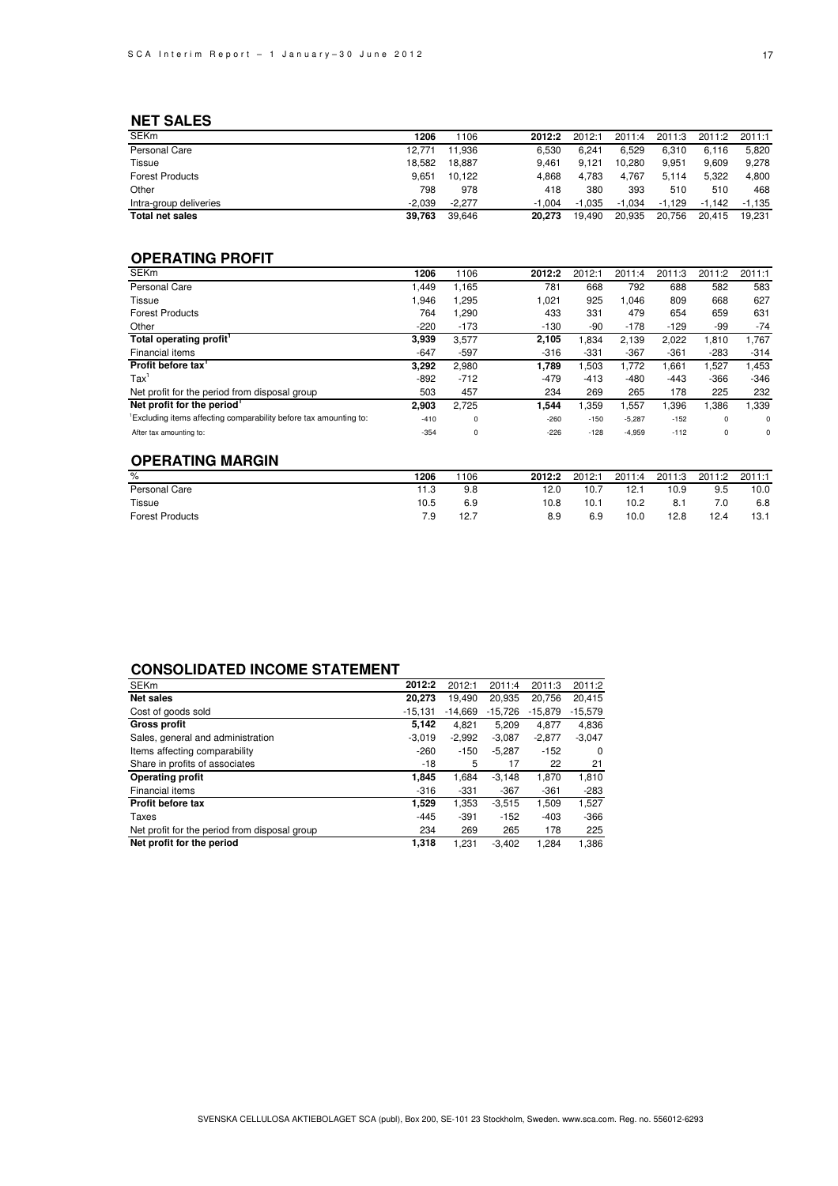### **NET SALES**

| <b>SEKm</b>            | 1206     | 106      | 2012:2   | 2012:1   | 2011:4   | 2011:3   | 2011:2   | 2011:1   |
|------------------------|----------|----------|----------|----------|----------|----------|----------|----------|
| Personal Care          | 12.771   | 11.936   | 6.530    | 6.241    | 6.529    | 6.310    | 6.116    | 5.820    |
| Tissue                 | 18.582   | 18.887   | 9.461    | 9.121    | 10.280   | 9.951    | 9.609    | 9.278    |
| <b>Forest Products</b> | 9.651    | 10.122   | 4.868    | 4.783    | 4.767    | 5.114    | 5.322    | 4.800    |
| Other                  | 798      | 978      | 418      | 380      | 393      | 510      | 510      | 468      |
| Intra-group deliveries | $-2.039$ | $-2.277$ | $-1.004$ | $-1.035$ | $-1.034$ | $-1.129$ | $-1.142$ | $-1.135$ |
| <b>Total net sales</b> | 39,763   | 39,646   | 20.273   | 19.490   | 20.935   | 20.756   | 20.415   | 19.231   |

### **OPERATING PROFIT**

| 1206   | 1106        | 2012:2 | 2012:1 | 2011:4   | 2011:3 | 2011:2      | 2011:1   |
|--------|-------------|--------|--------|----------|--------|-------------|----------|
| .449   | 1,165       | 781    | 668    | 792      | 688    | 582         | 583      |
| 1,946  | 1,295       | 1,021  | 925    | 1,046    | 809    | 668         | 627      |
| 764    | ,290        | 433    | 331    | 479      | 654    | 659         | 631      |
| $-220$ | $-173$      | $-130$ | -90    | $-178$   | $-129$ | -99         | $-74$    |
| 3.939  | 3,577       | 2,105  | 1,834  | 2,139    | 2.022  | 1,810       | 1,767    |
| $-647$ | -597        | $-316$ | $-331$ | $-367$   | $-361$ | $-283$      | $-314$   |
| 3.292  | 2.980       | 1.789  | 1,503  | 1.772    | .661   | 1,527       | 1,453    |
| -892   | $-712$      | $-479$ | $-413$ | $-480$   | $-443$ | $-366$      | $-346$   |
| 503    | 457         | 234    | 269    | 265      | 178    | 225         | 232      |
| 2.903  | 2.725       | 1,544  | 1,359  | 557, ا   | 0.396  | .386        | 1,339    |
| $-410$ | $\mathbf 0$ | $-260$ | $-150$ | $-5,287$ | $-152$ | $\mathbf 0$ | $\Omega$ |
| $-354$ | $\mathbf 0$ | $-226$ | $-128$ | $-4,959$ | $-112$ | $\mathbf 0$ | 0        |
|        |             |        |        |          |        |             |          |

### **OPERATING MARGIN**

| $\%$                   | 1206 | 1106 | 2012:2 | 2012:1 | 2011:4 | 2011:3 | 2011:2 | 2011:1 |
|------------------------|------|------|--------|--------|--------|--------|--------|--------|
| Personal Care          | 11.3 | 9.8  | 12.0   | 10.7   | 12.1   | 10.9   | 9.5    | 10.0   |
| Tissue                 | 10.5 | 6.9  | 10.8   | 10.1   | 10.2   | 8.1    | 7.0    | 6.8    |
| <b>Forest Products</b> | 7.9  | 12.7 | 8.9    | 6.9    | 10.0   | 12.8   | 12.4   | 13.1   |

### **CONSOLIDATED INCOME STATEMENT**

| <b>SEKm</b>                                   | 2012:2    | 2012:1    | 2011:4    | 2011:3    | 2011:2    |
|-----------------------------------------------|-----------|-----------|-----------|-----------|-----------|
| <b>Net sales</b>                              | 20,273    | 19.490    | 20,935    | 20,756    | 20,415    |
| Cost of goods sold                            | $-15.131$ | $-14.669$ | $-15.726$ | $-15,879$ | $-15,579$ |
| <b>Gross profit</b>                           | 5.142     | 4.821     | 5,209     | 4,877     | 4,836     |
| Sales, general and administration             | $-3.019$  | $-2,992$  | $-3,087$  | $-2,877$  | $-3,047$  |
| Items affecting comparability                 | $-260$    | $-150$    | $-5,287$  | $-152$    | $\Omega$  |
| Share in profits of associates                | $-18$     | 5         | 17        | 22        | 21        |
| <b>Operating profit</b>                       | 1.845     | 1,684     | $-3.148$  | 1,870     | 1,810     |
| Financial items                               | $-316$    | $-331$    | -367      | $-361$    | $-283$    |
| Profit before tax                             | 1,529     | 1.353     | $-3.515$  | 1.509     | 1,527     |
| Taxes                                         | $-445$    | $-391$    | $-152$    | $-403$    | $-366$    |
| Net profit for the period from disposal group | 234       | 269       | 265       | 178       | 225       |
| Net profit for the period                     | 1,318     | 1.231     | $-3.402$  | 1.284     | 1,386     |
|                                               |           |           |           |           |           |